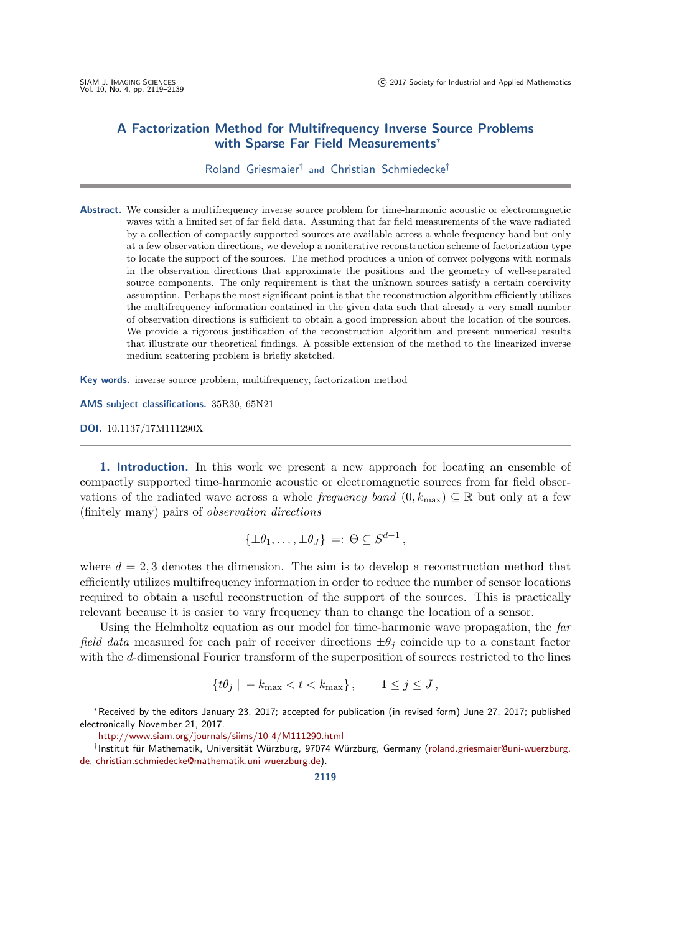# A Factorization Method for Multifrequency Inverse Source Problems with Sparse Far Field Measurements<sup>\*</sup>

## Roland Griesmaier† and Christian Schmiedecke†

Abstract. We consider a multifrequency inverse source problem for time-harmonic acoustic or electromagnetic waves with a limited set of far field data. Assuming that far field measurements of the wave radiated by a collection of compactly supported sources are available across a whole frequency band but only at a few observation directions, we develop a noniterative reconstruction scheme of factorization type to locate the support of the sources. The method produces a union of convex polygons with normals in the observation directions that approximate the positions and the geometry of well-separated source components. The only requirement is that the unknown sources satisfy a certain coercivity assumption. Perhaps the most significant point is that the reconstruction algorithm efficiently utilizes the multifrequency information contained in the given data such that already a very small number of observation directions is sufficient to obtain a good impression about the location of the sources. We provide a rigorous justification of the reconstruction algorithm and present numerical results that illustrate our theoretical findings. A possible extension of the method to the linearized inverse medium scattering problem is briefly sketched.

Key words. inverse source problem, multifrequency, factorization method

AMS subject classifications. 35R30, 65N21

DOI. 10.1137/17M111290X

1. Introduction. In this work we present a new approach for locating an ensemble of compactly supported time-harmonic acoustic or electromagnetic sources from far field observations of the radiated wave across a whole *frequency band*  $(0, k_{\text{max}}) \subseteq \mathbb{R}$  but only at a few (finitely many) pairs of observation directions

$$
\{\pm \theta_1, \ldots, \pm \theta_J\} =: \Theta \subseteq S^{d-1},
$$

where  $d = 2.3$  denotes the dimension. The aim is to develop a reconstruction method that efficiently utilizes multifrequency information in order to reduce the number of sensor locations required to obtain a useful reconstruction of the support of the sources. This is practically relevant because it is easier to vary frequency than to change the location of a sensor.

Using the Helmholtz equation as our model for time-harmonic wave propagation, the far field data measured for each pair of receiver directions  $\pm \theta_j$  coincide up to a constant factor with the d-dimensional Fourier transform of the superposition of sources restricted to the lines

$$
\{t\theta_j \mid -k_{\max} < t < k_{\max} \}, \qquad 1 \le j \le J \,,
$$

<sup>∗</sup>Received by the editors January 23, 2017; accepted for publication (in revised form) June 27, 2017; published electronically November 21, 2017.

<http://www.siam.org/journals/siims/10-4/M111290.html>

<sup>†</sup>Institut für Mathematik, Universität Würzburg, 97074 Würzburg, Germany [\(roland.griesmaier@uni-wuerzburg.](mailto:roland.griesmaier@uni-wuerzburg.de) [de,](mailto:roland.griesmaier@uni-wuerzburg.de) [christian.schmiedecke@mathematik.uni-wuerzburg.de\)](mailto:christian.schmiedecke@mathematik.uni-wuerzburg.de).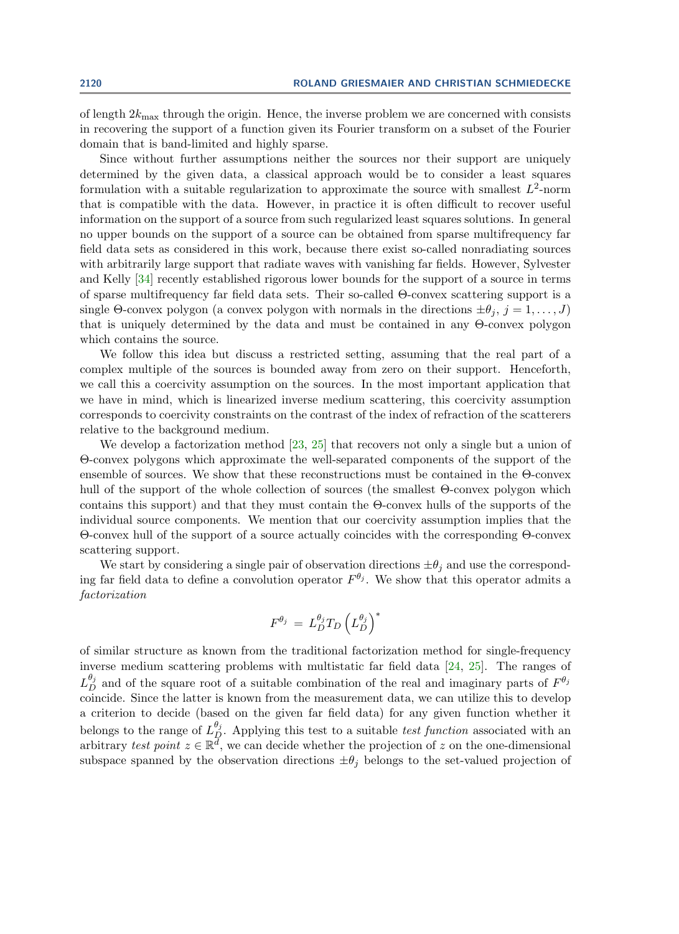of length  $2k_{\text{max}}$  through the origin. Hence, the inverse problem we are concerned with consists in recovering the support of a function given its Fourier transform on a subset of the Fourier domain that is band-limited and highly sparse.

Since without further assumptions neither the sources nor their support are uniquely determined by the given data, a classical approach would be to consider a least squares formulation with a suitable regularization to approximate the source with smallest  $L^2$ -norm that is compatible with the data. However, in practice it is often difficult to recover useful information on the support of a source from such regularized least squares solutions. In general no upper bounds on the support of a source can be obtained from sparse multifrequency far field data sets as considered in this work, because there exist so-called nonradiating sources with arbitrarily large support that radiate waves with vanishing far fields. However, Sylvester and Kelly [\[34\]](#page-20-0) recently established rigorous lower bounds for the support of a source in terms of sparse multifrequency far field data sets. Their so-called Θ-convex scattering support is a single Θ-convex polygon (a convex polygon with normals in the directions  $\pm \theta_i$ ,  $j = 1, \ldots, J$ ) that is uniquely determined by the data and must be contained in any Θ-convex polygon which contains the source.

We follow this idea but discuss a restricted setting, assuming that the real part of a complex multiple of the sources is bounded away from zero on their support. Henceforth, we call this a coercivity assumption on the sources. In the most important application that we have in mind, which is linearized inverse medium scattering, this coercivity assumption corresponds to coercivity constraints on the contrast of the index of refraction of the scatterers relative to the background medium.

We develop a factorization method [\[23,](#page-19-0) [25\]](#page-19-1) that recovers not only a single but a union of Θ-convex polygons which approximate the well-separated components of the support of the ensemble of sources. We show that these reconstructions must be contained in the Θ-convex hull of the support of the whole collection of sources (the smallest Θ-convex polygon which contains this support) and that they must contain the Θ-convex hulls of the supports of the individual source components. We mention that our coercivity assumption implies that the Θ-convex hull of the support of a source actually coincides with the corresponding Θ-convex scattering support.

We start by considering a single pair of observation directions  $\pm \theta_i$  and use the corresponding far field data to define a convolution operator  $F^{\theta_j}$ . We show that this operator admits a factorization

$$
F^{\theta_j} \,=\, L_D^{\theta_j} T_D \left(L_D^{\theta_j}\right)^*
$$

of similar structure as known from the traditional factorization method for single-frequency inverse medium scattering problems with multistatic far field data [\[24,](#page-19-2) [25\]](#page-19-1). The ranges of  $L_D^{\theta_j}$  and of the square root of a suitable combination of the real and imaginary parts of  $F^{\theta_j}$ coincide. Since the latter is known from the measurement data, we can utilize this to develop a criterion to decide (based on the given far field data) for any given function whether it belongs to the range of  $L_p^{\theta_j}$ . Applying this test to a suitable *test function* associated with an arbitrary test point  $z \in \mathbb{R}^{\tilde{d}}$ , we can decide whether the projection of z on the one-dimensional subspace spanned by the observation directions  $\pm \theta_j$  belongs to the set-valued projection of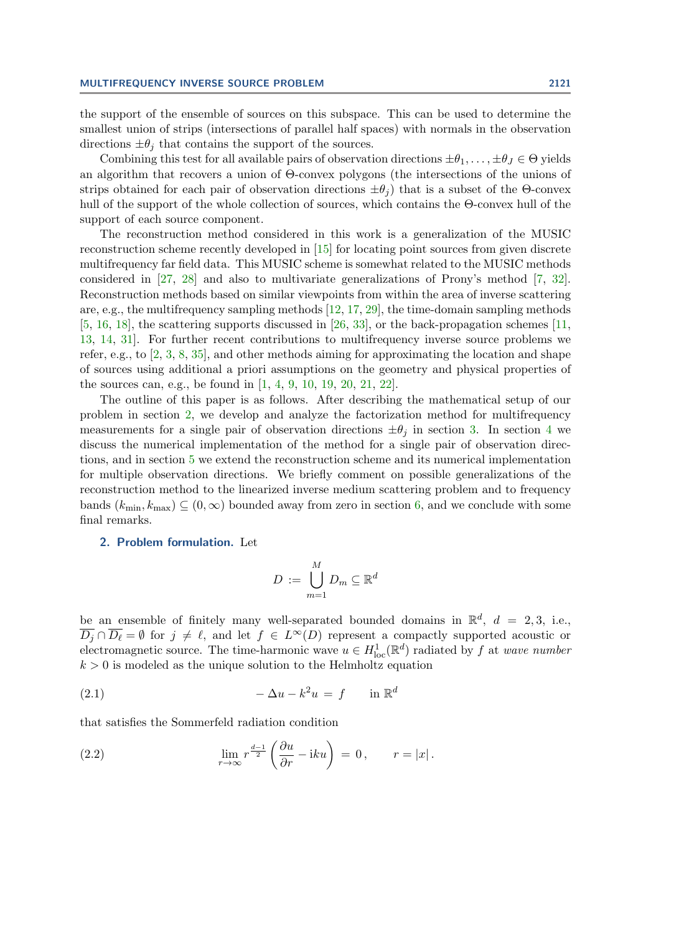the support of the ensemble of sources on this subspace. This can be used to determine the smallest union of strips (intersections of parallel half spaces) with normals in the observation directions  $\pm \theta_i$  that contains the support of the sources.

Combining this test for all available pairs of observation directions  $\pm\theta_1,\ldots,\pm\theta_J\in\Theta$  yields an algorithm that recovers a union of Θ-convex polygons (the intersections of the unions of strips obtained for each pair of observation directions  $\pm\theta_i$ ) that is a subset of the Θ-convex hull of the support of the whole collection of sources, which contains the Θ-convex hull of the support of each source component.

The reconstruction method considered in this work is a generalization of the MUSIC reconstruction scheme recently developed in [\[15\]](#page-19-3) for locating point sources from given discrete multifrequency far field data. This MUSIC scheme is somewhat related to the MUSIC methods considered in [\[27,](#page-19-4) [28\]](#page-19-5) and also to multivariate generalizations of Prony's method [\[7,](#page-19-6) [32\]](#page-19-7). Reconstruction methods based on similar viewpoints from within the area of inverse scattering are, e.g., the multifrequency sampling methods  $[12, 17, 29]$  $[12, 17, 29]$  $[12, 17, 29]$  $[12, 17, 29]$  $[12, 17, 29]$ , the time-domain sampling methods [\[5,](#page-18-0) [16,](#page-19-11) [18\]](#page-19-12), the scattering supports discussed in [\[26,](#page-19-13) [33\]](#page-20-1), or the back-propagation schemes [\[11,](#page-19-14) [13,](#page-19-15) [14,](#page-19-16) [31\]](#page-19-17). For further recent contributions to multifrequency inverse source problems we refer, e.g., to [\[2,](#page-18-1) [3,](#page-18-2) [8,](#page-19-18) [35\]](#page-20-2), and other methods aiming for approximating the location and shape of sources using additional a priori assumptions on the geometry and physical properties of the sources can, e.g., be found in [\[1,](#page-18-3) [4,](#page-18-4) [9,](#page-19-19) [10,](#page-19-20) [19,](#page-19-21) [20,](#page-19-22) [21,](#page-19-23) [22\]](#page-19-24).

The outline of this paper is as follows. After describing the mathematical setup of our problem in section [2,](#page-2-0) we develop and analyze the factorization method for multifrequency measurements for a single pair of observation directions  $\pm \theta_i$  in section [3.](#page-6-0) In section [4](#page-9-0) we discuss the numerical implementation of the method for a single pair of observation directions, and in section [5](#page-13-0) we extend the reconstruction scheme and its numerical implementation for multiple observation directions. We briefly comment on possible generalizations of the reconstruction method to the linearized inverse medium scattering problem and to frequency bands  $(k_{\min}, k_{\max}) \subseteq (0, \infty)$  bounded away from zero in section [6,](#page-15-0) and we conclude with some final remarks.

### <span id="page-2-0"></span>2. Problem formulation. Let

<span id="page-2-2"></span>
$$
D := \bigcup_{m=1}^{M} D_m \subseteq \mathbb{R}^d
$$

be an ensemble of finitely many well-separated bounded domains in  $\mathbb{R}^d$ ,  $d = 2,3$ , i.e.,  $\overline{D_j} \cap \overline{D_\ell} = \emptyset$  for  $j \neq \ell$ , and let  $f \in L^\infty(D)$  represent a compactly supported acoustic or electromagnetic source. The time-harmonic wave  $u \in H^1_{loc}(\mathbb{R}^d)$  radiated by f at wave number  $k > 0$  is modeled as the unique solution to the Helmholtz equation

$$
(2.1) \qquad \qquad -\Delta u - k^2 u = f \qquad \text{in } \mathbb{R}^d
$$

that satisfies the Sommerfeld radiation condition

<span id="page-2-1"></span>(2.2) 
$$
\lim_{r \to \infty} r^{\frac{d-1}{2}} \left( \frac{\partial u}{\partial r} - iku \right) = 0, \qquad r = |x|.
$$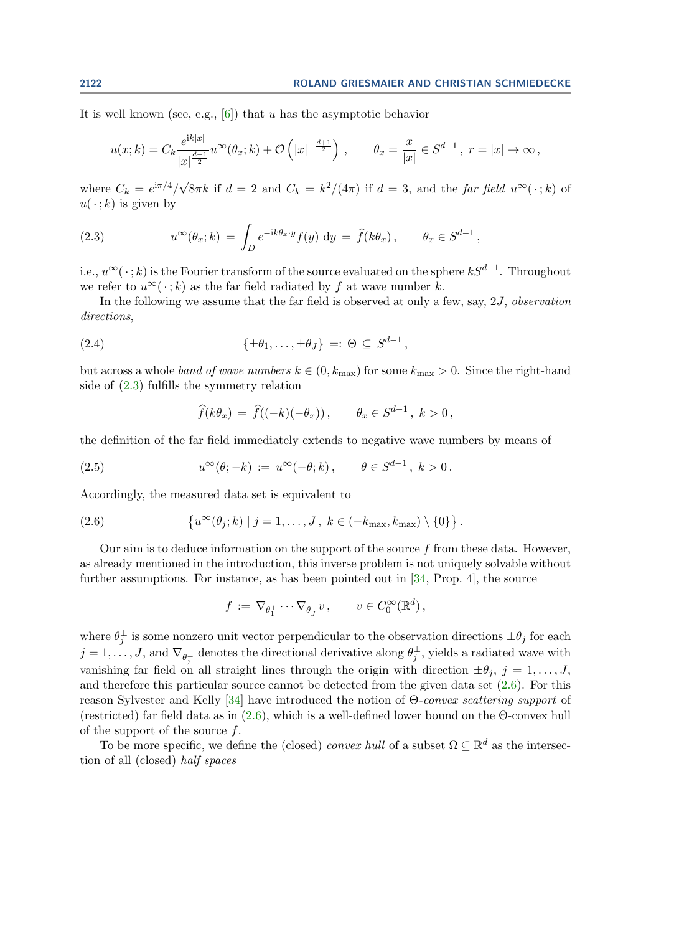It is well known (see, e.g.,  $[6]$ ) that u has the asymptotic behavior

$$
u(x;k) = C_k \frac{e^{ik|x|}}{|x|^{\frac{d-1}{2}}} u^{\infty}(\theta_x;k) + \mathcal{O}\left(|x|^{-\frac{d+1}{2}}\right), \qquad \theta_x = \frac{x}{|x|} \in S^{d-1}, \ r = |x| \to \infty,
$$

where  $C_k = e^{i\pi/4}/\sqrt{ }$  $\overline{8\pi k}$  if  $d=2$  and  $C_k = k^2/(4\pi)$  if  $d=3$ , and the far field  $u^{\infty}(\cdot; k)$  of  $u(\cdot; k)$  is given by

<span id="page-3-0"></span>(2.3) 
$$
u^{\infty}(\theta_x; k) = \int_D e^{-ik\theta_x \cdot y} f(y) dy = \hat{f}(k\theta_x), \qquad \theta_x \in S^{d-1},
$$

i.e.,  $u^{\infty}(\cdot; k)$  is the Fourier transform of the source evaluated on the sphere  $kS^{d-1}$ . Throughout we refer to  $u^{\infty}(\cdot;k)$  as the far field radiated by f at wave number k.

In the following we assume that the far field is observed at only a few, say,  $2J$ , observation directions,

(2.4) 
$$
\{\pm\theta_1,\ldots,\pm\theta_J\} =: \Theta \subseteq S^{d-1},
$$

but across a whole band of wave numbers  $k \in (0, k_{\text{max}})$  for some  $k_{\text{max}} > 0$ . Since the right-hand side of [\(2.3\)](#page-3-0) fulfills the symmetry relation

<span id="page-3-3"></span><span id="page-3-2"></span>
$$
\widehat{f}(k\theta_x) = \widehat{f}((-k)(-\theta_x)), \qquad \theta_x \in S^{d-1}, \ k > 0,
$$

the definition of the far field immediately extends to negative wave numbers by means of

(2.5) 
$$
u^{\infty}(\theta; -k) := u^{\infty}(-\theta; k), \qquad \theta \in S^{d-1}, k > 0.
$$

Accordingly, the measured data set is equivalent to

(2.6) 
$$
\{u^{\infty}(\theta_j;k) | j = 1,\ldots, J, k \in (-k_{\max},k_{\max}) \setminus \{0\}\}.
$$

Our aim is to deduce information on the support of the source  $f$  from these data. However, as already mentioned in the introduction, this inverse problem is not uniquely solvable without further assumptions. For instance, as has been pointed out in [\[34,](#page-20-0) Prop. 4], the source

<span id="page-3-1"></span>
$$
f := \nabla_{\theta_1^{\perp}} \cdots \nabla_{\theta_J^{\perp}} v, \qquad v \in C_0^{\infty}(\mathbb{R}^d),
$$

where  $\theta_j^{\perp}$  is some nonzero unit vector perpendicular to the observation directions  $\pm \theta_j$  for each  $j=1,\ldots,J,$  and  $\nabla_{\theta_j^{\perp}}$  denotes the directional derivative along  $\theta_j^{\perp}$ , yields a radiated wave with vanishing far field on all straight lines through the origin with direction  $\pm \theta_j$ ,  $j = 1, \ldots, J$ , and therefore this particular source cannot be detected from the given data set [\(2.6\)](#page-3-1). For this reason Sylvester and Kelly [\[34\]](#page-20-0) have introduced the notion of Θ-convex scattering support of (restricted) far field data as in  $(2.6)$ , which is a well-defined lower bound on the  $\Theta$ -convex hull of the support of the source  $f$ .

To be more specific, we define the (closed) convex hull of a subset  $\Omega \subseteq \mathbb{R}^d$  as the intersection of all (closed) half spaces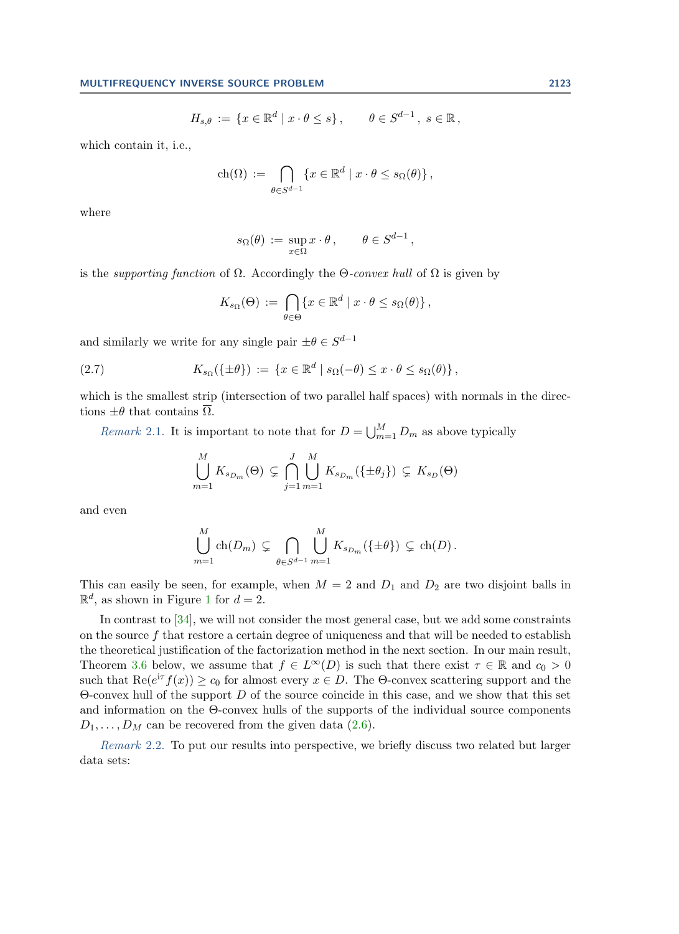$$
H_{s,\theta} := \{ x \in \mathbb{R}^d \mid x \cdot \theta \le s \}, \qquad \theta \in S^{d-1}, s \in \mathbb{R},
$$

which contain it, i.e.,

$$
\operatorname{ch}(\Omega) := \bigcap_{\theta \in S^{d-1}} \{ x \in \mathbb{R}^d \mid x \cdot \theta \le s_{\Omega}(\theta) \},
$$

where

$$
s_{\Omega}(\theta) := \sup_{x \in \Omega} x \cdot \theta, \qquad \theta \in S^{d-1},
$$

is the *supporting function* of  $\Omega$ . Accordingly the  $\Theta$ -convex hull of  $\Omega$  is given by

<span id="page-4-0"></span>
$$
K_{s_{\Omega}}(\Theta) := \bigcap_{\theta \in \Theta} \{x \in \mathbb{R}^d \mid x \cdot \theta \leq s_{\Omega}(\theta)\},\
$$

and similarly we write for any single pair  $\pm \theta \in S^{d-1}$ 

(2.7) 
$$
K_{s_{\Omega}}(\{\pm \theta\}) := \{x \in \mathbb{R}^d \mid s_{\Omega}(-\theta) \leq x \cdot \theta \leq s_{\Omega}(\theta)\},
$$

which is the smallest strip (intersection of two parallel half spaces) with normals in the directions  $\pm\theta$  that contains  $\overline{\Omega}$ .

<span id="page-4-2"></span>*Remark* 2.1. It is important to note that for  $D = \bigcup_{m=1}^{M} D_m$  as above typically

$$
\bigcup_{m=1}^{M} K_{s_{D_m}}(\Theta) \subsetneq \bigcap_{j=1}^{J} \bigcup_{m=1}^{M} K_{s_{D_m}}(\{\pm \theta_j\}) \subsetneq K_{s_D}(\Theta)
$$

and even

$$
\bigcup_{m=1}^M \text{ch}(D_m) \subsetneq \bigcap_{\theta \in S^{d-1}} \bigcup_{m=1}^M K_{s_{D_m}}(\{\pm \theta\}) \subsetneq \text{ch}(D).
$$

This can easily be seen, for example, when  $M = 2$  and  $D_1$  and  $D_2$  are two disjoint balls in  $\mathbb{R}^d$ , as shown in Figure [1](#page-5-0) for  $d=2$ .

In contrast to [\[34\]](#page-20-0), we will not consider the most general case, but we add some constraints on the source  $f$  that restore a certain degree of uniqueness and that will be needed to establish the theoretical justification of the factorization method in the next section. In our main result, Theorem [3.6](#page-8-0) below, we assume that  $f \in L^{\infty}(D)$  is such that there exist  $\tau \in \mathbb{R}$  and  $c_0 > 0$ such that  $\text{Re}(e^{i\tau}f(x)) \ge c_0$  for almost every  $x \in D$ . The  $\Theta$ -convex scattering support and the  $\Theta$ -convex hull of the support D of the source coincide in this case, and we show that this set and information on the Θ-convex hulls of the supports of the individual source components  $D_1, \ldots, D_M$  can be recovered from the given data [\(2.6\)](#page-3-1).

<span id="page-4-1"></span>Remark 2.2. To put our results into perspective, we briefly discuss two related but larger data sets: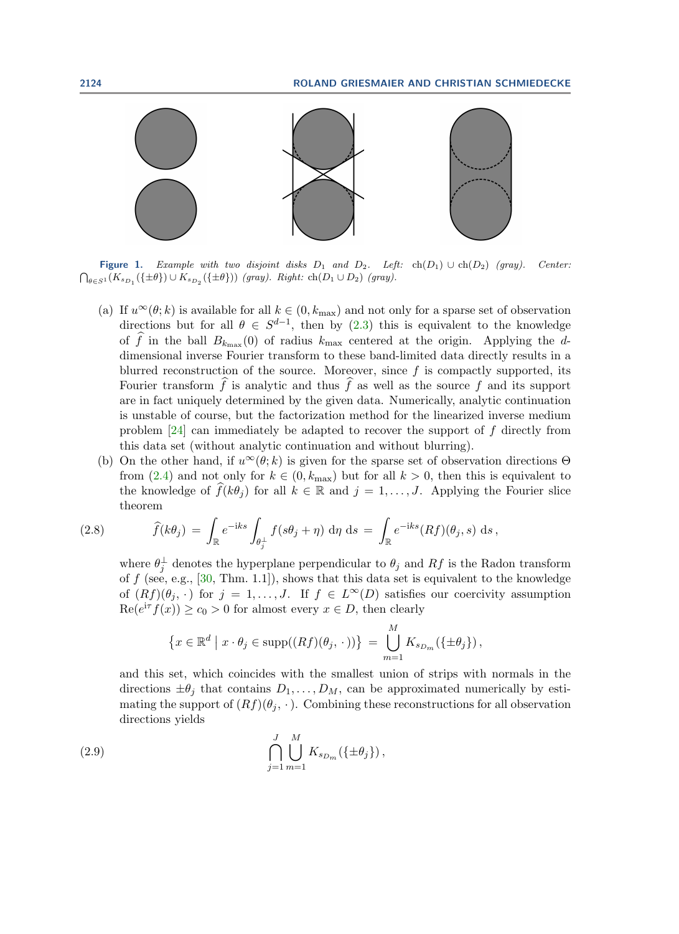<span id="page-5-0"></span>

Figure 1. Example with two disjoint disks  $D_1$  and  $D_2$ . Left:  $ch(D_1) \cup ch(D_2)$  (gray). Center:  $\bigcap_{\theta \in S^1} (K_{s_{D_1}}(\{\pm \theta\}) \cup K_{s_{D_2}}(\{\pm \theta\}))$  (gray). Right:  $\text{ch}(D_1 \cup D_2)$  (gray).

- (a) If  $u^{\infty}(\theta; k)$  is available for all  $k \in (0, k_{\text{max}})$  and not only for a sparse set of observation directions but for all  $\theta \in S^{d-1}$ , then by [\(2.3\)](#page-3-0) this is equivalent to the knowledge of f in the ball  $B_{k_{\text{max}}}(0)$  of radius  $k_{\text{max}}$  centered at the origin. Applying the ddimensional inverse Fourier transform to these band-limited data directly results in a blurred reconstruction of the source. Moreover, since  $f$  is compactly supported, its Fourier transform  $\hat{f}$  is analytic and thus  $\hat{f}$  as well as the source f and its support are in fact uniquely determined by the given data. Numerically, analytic continuation is unstable of course, but the factorization method for the linearized inverse medium problem [\[24\]](#page-19-2) can immediately be adapted to recover the support of f directly from this data set (without analytic continuation and without blurring).
- (b) On the other hand, if  $u^{\infty}(\theta; k)$  is given for the sparse set of observation directions  $\Theta$ from  $(2.4)$  and not only for  $k \in (0, k_{\text{max}})$  but for all  $k > 0$ , then this is equivalent to the knowledge of  $\widehat{f}(k\theta_i)$  for all  $k \in \mathbb{R}$  and  $j = 1, \ldots, J$ . Applying the Fourier slice theorem

(2.8) 
$$
\widehat{f}(k\theta_j) = \int_{\mathbb{R}} e^{-iks} \int_{\theta_j^{\perp}} f(s\theta_j + \eta) d\eta ds = \int_{\mathbb{R}} e^{-iks} (Rf)(\theta_j, s) ds,
$$

<span id="page-5-2"></span>where  $\theta_j^{\perp}$  denotes the hyperplane perpendicular to  $\theta_j$  and  $Rf$  is the Radon transform of  $f$  (see, e.g., [\[30,](#page-19-26) Thm. 1.1]), shows that this data set is equivalent to the knowledge of  $(Rf)(\theta_j, \cdot)$  for  $j = 1, \ldots, J$ . If  $f \in L^{\infty}(D)$  satisfies our coercivity assumption  $\text{Re}(e^{\text{i}\tau}f(x)) \geq c_0 > 0$  for almost every  $x \in D$ , then clearly

<span id="page-5-1"></span>
$$
\left\{x \in \mathbb{R}^d \mid x \cdot \theta_j \in \text{supp}((Rf)(\theta_j, \cdot))\right\} = \bigcup_{m=1}^M K_{s_{D_m}}(\{\pm \theta_j\}),
$$

and this set, which coincides with the smallest union of strips with normals in the directions  $\pm \theta_i$  that contains  $D_1, \ldots, D_M$ , can be approximated numerically by estimating the support of  $(Rf)(\theta_i, \cdot)$ . Combining these reconstructions for all observation directions yields

(2.9) 
$$
\bigcap_{j=1}^{J} \bigcup_{m=1}^{M} K_{s_{D_m}}(\{\pm \theta_j\}),
$$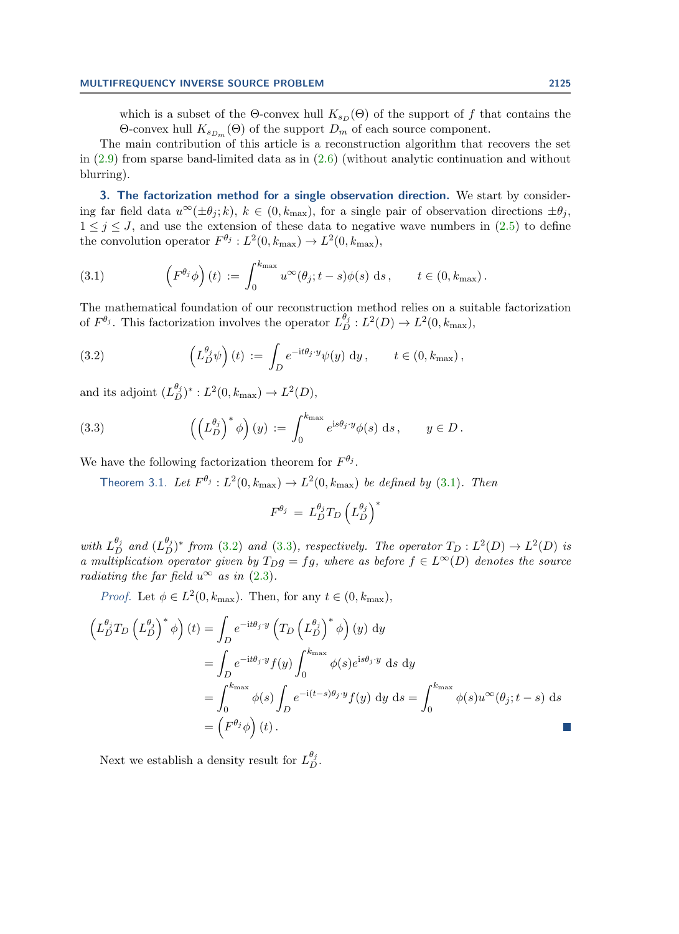which is a subset of the  $\Theta$ -convex hull  $K_{s_D}(\Theta)$  of the support of f that contains the  $\Theta$ -convex hull  $K_{s_{D_m}}(\Theta)$  of the support  $D_m$  of each source component.

The main contribution of this article is a reconstruction algorithm that recovers the set in [\(2.9\)](#page-5-1) from sparse band-limited data as in [\(2.6\)](#page-3-1) (without analytic continuation and without blurring).

<span id="page-6-0"></span>3. The factorization method for a single observation direction. We start by considering far field data  $u^{\infty}(\pm \theta_i; k)$ ,  $k \in (0, k_{\text{max}})$ , for a single pair of observation directions  $\pm \theta_i$ ,  $1 \leq j \leq J$ , and use the extension of these data to negative wave numbers in  $(2.5)$  to define the convolution operator  $F^{\theta_j}: L^2(0, k_{\text{max}}) \to L^2(0, k_{\text{max}}),$ 

<span id="page-6-1"></span>(3.1) 
$$
\left(F^{\theta_j}\phi\right)(t) := \int_0^{k_{\max}} u^{\infty}(\theta_j;t-s)\phi(s) ds, \qquad t \in (0,k_{\max}).
$$

The mathematical foundation of our reconstruction method relies on a suitable factorization of  $F^{\theta_j}$ . This factorization involves the operator  $L_D^{\theta_j}: L^2(D) \to L^2(0, k_{\text{max}})$ ,

<span id="page-6-2"></span>(3.2) 
$$
\left(L_D^{\theta_j}\psi\right)(t) := \int_D e^{-\mathrm{i}t\theta_j \cdot y}\psi(y) \, \mathrm{d}y, \qquad t \in (0, k_{\max}),
$$

and its adjoint  $(L_D^{\theta_j})^* : L^2(0, k_{\text{max}}) \to L^2(D)$ ,

(3.3) 
$$
\left( \left( L_D^{\theta_j} \right)^* \phi \right) (y) := \int_0^{k_{\max}} e^{is\theta_j \cdot y} \phi(s) ds, \qquad y \in D.
$$

We have the following factorization theorem for  $F^{\theta_j}$ .

<span id="page-6-3"></span>Theorem 3.1. Let  $F^{\theta_j}: L^2(0,k_{\max}) \to L^2(0,k_{\max})$  be defined by [\(3.1\)](#page-6-1). Then

$$
F^{\theta_j} \,=\, L_D^{\theta_j} T_D \left(L_D^{\theta_j}\right)^*
$$

with  $L_{D}^{\theta_j}$  and  $(L_{D}^{\theta_j})^*$  from [\(3.2\)](#page-6-2) and [\(3.3\)](#page-6-3), respectively. The operator  $T_D: L^2(D) \to L^2(D)$  is a multiplication operator given by  $T_Dg = fg$ , where as before  $f \in L^{\infty}(D)$  denotes the source radiating the far field  $u^{\infty}$  as in [\(2.3\)](#page-3-0).

*Proof.* Let  $\phi \in L^2(0, k_{\text{max}})$ . Then, for any  $t \in (0, k_{\text{max}})$ ,

$$
\begin{split}\n\left(L_{D}^{\theta_{j}}T_{D}\left(L_{D}^{\theta_{j}}\right)^{*}\phi\right)(t) &= \int_{D} e^{-\mathrm{i}t\theta_{j}\cdot y} \left(T_{D}\left(L_{D}^{\theta_{j}}\right)^{*}\phi\right)(y) \, \mathrm{d}y \\
&= \int_{D} e^{-\mathrm{i}t\theta_{j}\cdot y} f(y) \int_{0}^{k_{\text{max}}} \phi(s) e^{\mathrm{i}s\theta_{j}\cdot y} \, \mathrm{d}s \, \mathrm{d}y \\
&= \int_{0}^{k_{\text{max}}} \phi(s) \int_{D} e^{-\mathrm{i}(t-s)\theta_{j}\cdot y} f(y) \, \mathrm{d}y \, \mathrm{d}s = \int_{0}^{k_{\text{max}}} \phi(s)u^{\infty}(\theta_{j}; t-s) \, \mathrm{d}s \\
&= \left(F^{\theta_{j}}\phi\right)(t).\n\end{split}
$$

<span id="page-6-4"></span>Next we establish a density result for  $L_{D}^{\theta_{j}}$ .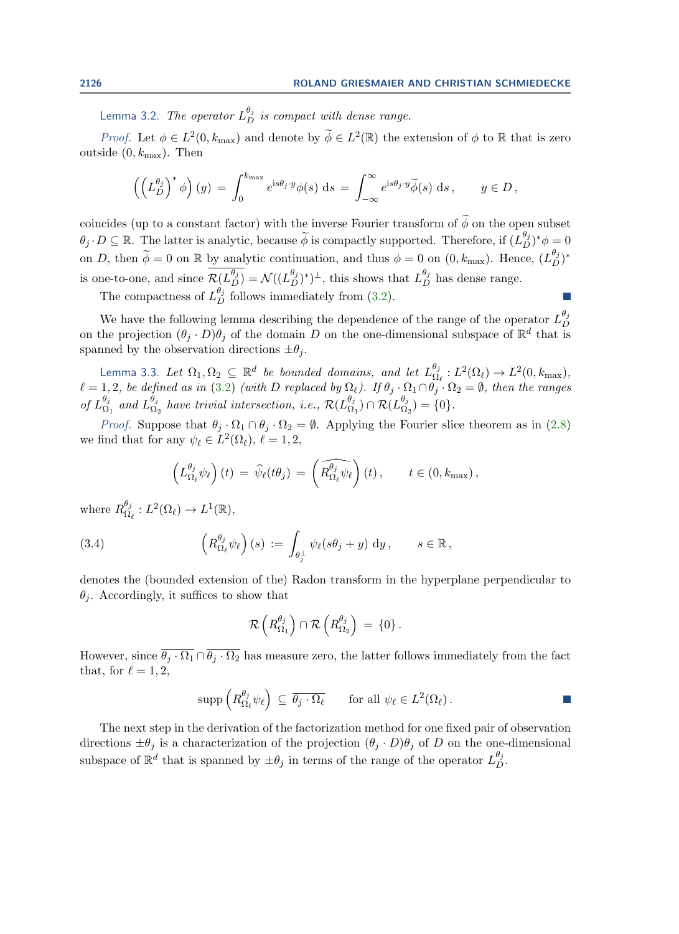Lemma 3.2. The operator  $L^{{\theta_j}}_D$  is compact with dense range.

Proof. Let  $\phi \in L^2(0, k_{\max})$  and denote by  $\widetilde{\phi} \in L^2(\mathbb{R})$  the extension of  $\phi$  to  $\mathbb R$  that is zero outside  $(0, k_{\text{max}})$ . Then

$$
\left(\left(L_D^{\theta_j}\right)^*\phi\right)(y) = \int_0^{k_{\max}} e^{is\theta_j \cdot y} \phi(s) \, ds = \int_{-\infty}^{\infty} e^{is\theta_j \cdot y} \widetilde{\phi}(s) \, ds, \qquad y \in D,
$$

coincides (up to a constant factor) with the inverse Fourier transform of  $\widetilde{\phi}$  on the open subset  $\theta_j \cdot D \subseteq \mathbb{R}$ . The latter is analytic, because  $\widetilde{\phi}$  is compactly supported. Therefore, if  $(L_D^{\theta_j})^* \phi = 0$ on D, then  $\widetilde{\phi} = 0$  on R by analytic continuation, and thus  $\phi = 0$  on  $(0, k_{\text{max}})$ . Hence,  $(L_D^{\theta_j})^*$ is one-to-one, and since  $\mathcal{R}(L_D^{\theta_j}) = \mathcal{N}((L_D^{\theta_j})^*)^{\perp}$ , this shows that  $L_D^{\theta_j}$  has dense range.

The compactness of  $L_D^{\theta_j}$  follows immediately from [\(3.2\)](#page-6-2).

We have the following lemma describing the dependence of the range of the operator  $L_D^{\theta_j}$ D on the projection  $(\theta_j \cdot D)\theta_j$  of the domain D on the one-dimensional subspace of  $\mathbb{R}^d$  that is spanned by the observation directions  $\pm\theta_i$ .

<span id="page-7-0"></span>Lemma 3.3. Let  $\Omega_1, \Omega_2 \subseteq \mathbb{R}^d$  be bounded domains, and let  $L_{\Omega}^{\theta_j}$  $\frac{\theta_j}{\Omega_\ell}: L^2(\Omega_\ell) \to L^2(0,k_{\max}),$  $\ell = 1, 2$ , be defined as in [\(3.2\)](#page-6-2) (with D replaced by  $\Omega_{\ell}$ ). If  $\theta_j \cdot \Omega_1 \cap \theta_j \cdot \Omega_2 = \emptyset$ , then the ranges of  $L^{\theta_j}_0$  $\frac{\theta_j}{\Omega_1}$  and  $L_{\Omega_2}^{\theta_j}$  $\frac{\theta_j}{\Omega_2}$  have trivial intersection, i.e.,  $\mathcal{R}(L_{\Omega}^{\theta_j})$  $\frac{\theta_j}{\Omega_1})\cap\mathcal{R}(L_{\Omega_2}^{\theta_j})$  $\binom{v_j}{\Omega_2} = \{0\}.$ 

*Proof.* Suppose that  $\theta_j \cdot \Omega_1 \cap \theta_j \cdot \Omega_2 = \emptyset$ . Applying the Fourier slice theorem as in [\(2.8\)](#page-5-2) we find that for any  $\psi_{\ell} \in L^2(\Omega_{\ell}), \ell = 1, 2,$ 

<span id="page-7-2"></span>
$$
\left(L_{\Omega_{\ell}}^{\theta_j}\psi_{\ell}\right)(t) = \widehat{\psi}_{\ell}(t\theta_j) = \left(\widehat{R_{\Omega_{\ell}}^{\theta_j}\psi_{\ell}}\right)(t), \quad t \in (0, k_{\max}),
$$

where  $R^{\theta_j}_{\Omega}$  $\frac{\theta_j}{\Omega_\ell}: L^2(\Omega_\ell) \to L^1(\mathbb{R}),$ 

(3.4) 
$$
\left(R_{\Omega_{\ell}}^{\theta_j}\psi_{\ell}\right)(s) := \int_{\theta_j^{\perp}} \psi_{\ell}(s\theta_j + y) \, \mathrm{d}y, \qquad s \in \mathbb{R},
$$

denotes the (bounded extension of the) Radon transform in the hyperplane perpendicular to  $\theta_i$ . Accordingly, it suffices to show that

$$
\mathcal{R}\left(R^{\theta_j}_{\Omega_1}\right)\cap\mathcal{R}\left(R^{\theta_j}_{\Omega_2}\right) = \{0\}.
$$

However, since  $\overline{\theta_j \cdot \Omega_1} \cap \overline{\theta_j \cdot \Omega_2}$  has measure zero, the latter follows immediately from the fact that, for  $\ell = 1, 2$ ,

$$
\operatorname{supp}\left(R^{\theta_j}_{\Omega_\ell}\psi_\ell\right) \subseteq \overline{\theta_j \cdot \Omega_\ell} \qquad \text{for all } \psi_\ell \in L^2(\Omega_\ell).
$$

<span id="page-7-1"></span>The next step in the derivation of the factorization method for one fixed pair of observation directions  $\pm \theta_j$  is a characterization of the projection  $(\theta_j \cdot D)\theta_j$  of D on the one-dimensional subspace of  $\mathbb{R}^d$  that is spanned by  $\pm\theta_j$  in terms of the range of the operator  $L_D^{\theta_j}$ .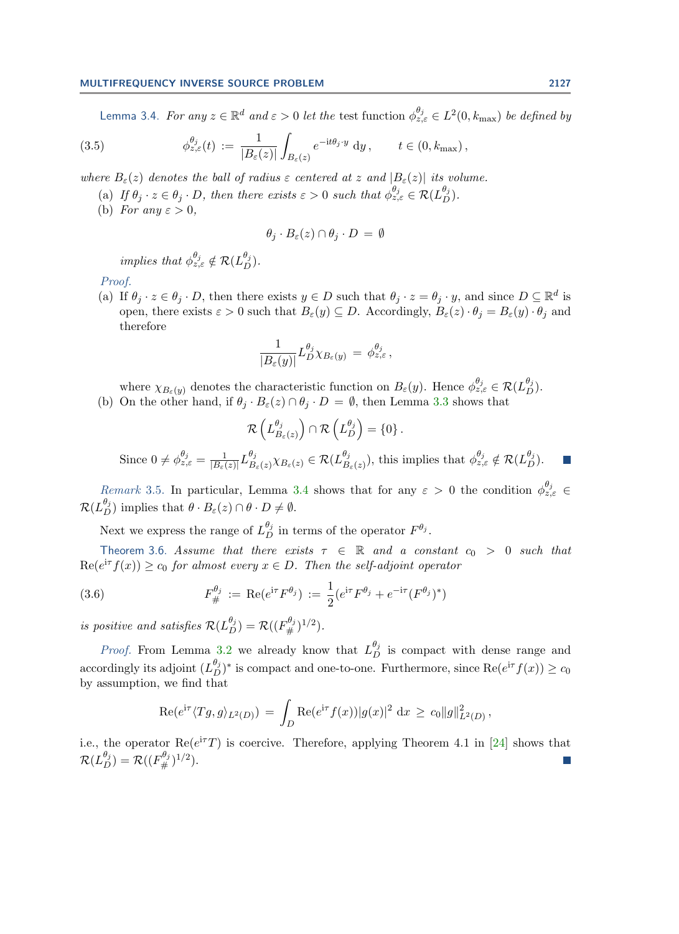<span id="page-8-2"></span>Lemma 3.4. For any  $z\in\mathbb{R}^d$  and  $\varepsilon>0$  let the test function  $\phi_{z,\varepsilon}^{\theta_j}\in L^2(0,k_{\text{max}})$  be defined by

(3.5) 
$$
\phi_{z,\varepsilon}^{\theta_j}(t) := \frac{1}{|B_{\varepsilon}(z)|} \int_{B_{\varepsilon}(z)} e^{-\mathrm{i}t\theta_j \cdot y} \, \mathrm{d}y, \qquad t \in (0, k_{\max}),
$$

where  $B_{\varepsilon}(z)$  denotes the ball of radius  $\varepsilon$  centered at z and  $|B_{\varepsilon}(z)|$  its volume.

- (a) If  $\theta_j \cdot z \in \theta_j \cdot D$ , then there exists  $\varepsilon > 0$  such that  $\phi_{z,\varepsilon}^{\theta_j} \in \mathcal{R}(L_D^{\theta_j})$ .
- (b) For any  $\varepsilon > 0$ ,

$$
\theta_j \cdot B_{\varepsilon}(z) \cap \theta_j \cdot D = \emptyset
$$

implies that  $\phi_{z,\varepsilon}^{\theta_j} \notin \mathcal{R}(L_D^{\theta_j}).$ 

### Proof.

(a) If  $\theta_j \cdot z \in \theta_j \cdot D$ , then there exists  $y \in D$  such that  $\theta_j \cdot z = \theta_j \cdot y$ , and since  $D \subseteq \mathbb{R}^d$  is open, there exists  $\varepsilon > 0$  such that  $B_{\varepsilon}(y) \subseteq D$ . Accordingly,  $B_{\varepsilon}(z) \cdot \theta_i = B_{\varepsilon}(y) \cdot \theta_i$  and therefore

$$
\frac{1}{|B_\varepsilon(y)|}L_D^{\theta_j}\chi_{B_\varepsilon(y)}\,=\,\phi_{z,\varepsilon}^{\theta_j}\,,
$$

where  $\chi_{B_{\varepsilon}(y)}$  denotes the characteristic function on  $B_{\varepsilon}(y)$ . Hence  $\phi_{z,\varepsilon}^{\theta_j} \in \mathcal{R}(L_D^{\theta_j})$ .

(b) On the other hand, if  $\theta_j \cdot B_{\varepsilon}(z) \cap \theta_j \cdot D = \emptyset$ , then Lemma [3.3](#page-7-0) shows that

$$
\mathcal{R}\left(L_{B_{\varepsilon}(z)}^{\theta_j}\right) \cap \mathcal{R}\left(L_D^{\theta_j}\right) = \{0\}.
$$
  
Since  $0 \neq \phi_{z,\varepsilon}^{\theta_j} = \frac{1}{|B_{\varepsilon}(z)|} L_{B_{\varepsilon}(z)}^{\theta_j} \chi_{B_{\varepsilon}(z)} \in \mathcal{R}(L_{B_{\varepsilon}(z)}^{\theta_j}),$  this implies that  $\phi$ 

Remark 3.5. In particular, Lemma [3.4](#page-7-1) shows that for any  $\varepsilon > 0$  the condition  $\phi_{z,\varepsilon}^{\theta_j} \in$  $\mathcal{R}(L_{D}^{\theta_{j}})$  implies that  $\theta \cdot B_{\varepsilon}(z) \cap \theta \cdot D \neq \emptyset$ .

<span id="page-8-1"></span>Next we express the range of  $L_{D}^{\theta_{j}}$  in terms of the operator  $F^{\theta_{j}}$ .

<span id="page-8-0"></span>Theorem 3.6. Assume that there exists  $\tau \in \mathbb{R}$  and a constant  $c_0 > 0$  such that  $\text{Re}(e^{\text{i}\tau}f(x)) \geq c_0$  for almost every  $x \in D$ . Then the self-adjoint operator

(3.6) 
$$
F_{\#}^{\theta_j} := \text{Re}(e^{i\tau}F^{\theta_j}) := \frac{1}{2}(e^{i\tau}F^{\theta_j} + e^{-i\tau}(F^{\theta_j})^*)
$$

is positive and satisfies  $\mathcal{R}(L_D^{\theta_j}) = \mathcal{R}((F_\#^{\theta_j})^{1/2})$ .

*Proof.* From Lemma [3.2](#page-6-4) we already know that  $L_D^{\theta_j}$  is compact with dense range and accordingly its adjoint  $(L_D^{\theta_j})^*$  is compact and one-to-one. Furthermore, since  $\text{Re}(e^{\text{i}\tau}f(x)) \ge c_0$ by assumption, we find that

$$
\operatorname{Re}(e^{\mathrm{i}\tau}\langle Tg,g\rangle_{L^2(D)})\,=\,\int_D\operatorname{Re}(e^{\mathrm{i}\tau}f(x))|g(x)|^2\,\,\mathrm{d}x\,\geq\,c_0\|g\|^2_{L^2(D)}\,,
$$

i.e., the operator  $\text{Re}(e^{i\tau}T)$  is coercive. Therefore, applying Theorem 4.1 in [\[24\]](#page-19-2) shows that  $\mathcal{R}(L_D^{\theta_j}) = \mathcal{R}((F_{\#}^{\theta_j})^{1/2}).$ 

 $_{z,\varepsilon}^{\theta_j} \notin \mathcal{R}(L_{D}^{\theta_j}).$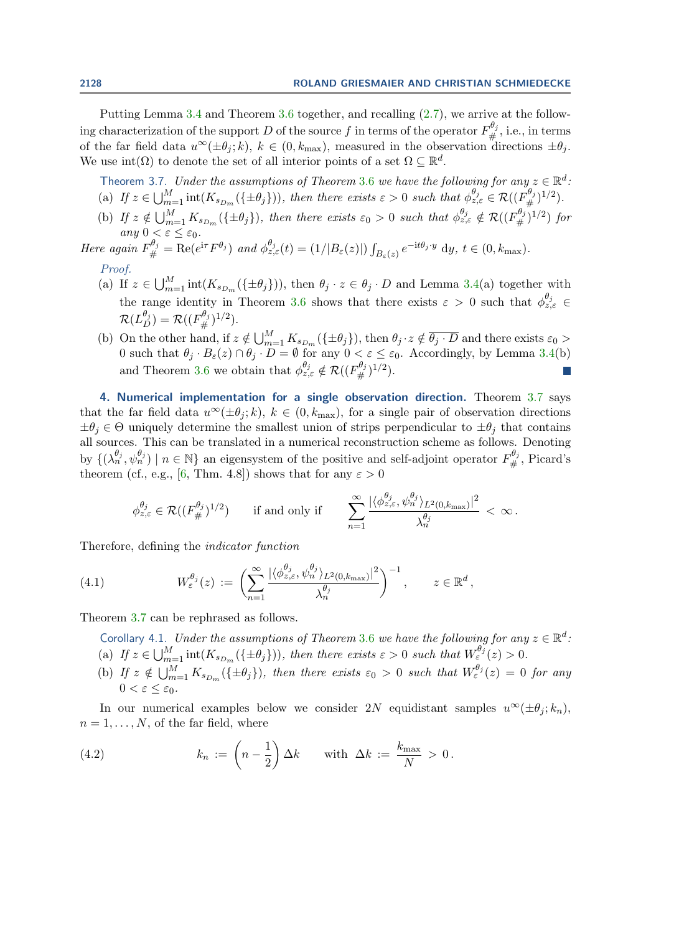Putting Lemma [3.4](#page-7-1) and Theorem [3.6](#page-8-0) together, and recalling [\(2.7\)](#page-4-0), we arrive at the following characterization of the support D of the source  $f$  in terms of the operator  $F^{\theta_j}_{\#}$ , i.e., in terms of the far field data  $u^{\infty}(\pm\theta_j;k)$ ,  $k \in (0,k_{\text{max}})$ , measured in the observation directions  $\pm\theta_j$ . We use  $\text{int}(\Omega)$  to denote the set of all interior points of a set  $\Omega \subseteq \mathbb{R}^d$ .

<span id="page-9-1"></span>Theorem 3.7. Under the assumptions of Theorem [3.6](#page-8-0) we have the following for any  $z \in \mathbb{R}^d$ .

- (a) If  $z \in \bigcup_{m=1}^M \text{int}(K_{s_{D_m}}(\{\pm \theta_j\}))$ , then there exists  $\varepsilon > 0$  such that  $\phi_{z,\varepsilon}^{\theta_j} \in \mathcal{R}((F_{\#}^{\theta_j})^{1/2})$ .
- (b) If  $z \notin \bigcup_{m=1}^M K_{s_{D_m}}(\{\pm \theta_j\})$ , then there exists  $\varepsilon_0 > 0$  such that  $\phi_{z,\varepsilon}^{\theta_j} \notin \mathcal{R}((F_{\#}^{\theta_j})^{1/2})$  for any  $0 < \varepsilon \leq \varepsilon_0$ .
- Here again  $F_{\#}^{\theta_j} = \text{Re}(e^{i\tau}F^{\theta_j})$  and  $\phi_{z,\varepsilon}^{\theta_j}(t) = (1/|B_{\varepsilon}(z)|) \int_{B_{\varepsilon}(z)} e^{-it\theta_j \cdot y} dy, t \in (0, k_{\max}).$ Proof.
	- (a) If  $z \in \bigcup_{m=1}^M \text{int}(K_{s_{D_m}}(\{\pm \theta_j\}))$ , then  $\theta_j \cdot z \in \theta_j \cdot D$  and Lemma [3.4\(](#page-7-1)a) together with the range identity in Theorem [3.6](#page-8-0) shows that there exists  $\varepsilon > 0$  such that  $\phi_{z,\varepsilon}^{\theta_j} \in$  $\mathcal{R}(L_D^{\theta_j}) = \mathcal{R}((F_{\#}^{\theta_j})^{1/2}).$
	- (b) On the other hand, if  $z \notin \bigcup_{m=1}^M K_{s_{D_m}}(\{\pm \theta_j\})$ , then  $\theta_j \cdot z \notin \overline{\theta_j \cdot D}$  and there exists  $\varepsilon_0 >$ 0 such that  $\theta_j \cdot B_{\varepsilon}(z) \cap \theta_j \cdot D = \emptyset$  for any  $0 < \varepsilon \leq \varepsilon_0$ . Accordingly, by Lemma [3.4\(](#page-7-1)b) and Theorem [3.6](#page-8-0) we obtain that  $\phi_{z,\varepsilon}^{\theta_j} \notin \mathcal{R}((F^{\theta_j}_\#)^{1/2}).$ P.

<span id="page-9-0"></span>4. Numerical implementation for a single observation direction. Theorem [3.7](#page-9-1) says that the far field data  $u^{\infty}(\pm \theta_i; k)$ ,  $k \in (0, k_{\text{max}})$ , for a single pair of observation directions  $\pm\theta_j \in \Theta$  uniquely determine the smallest union of strips perpendicular to  $\pm\theta_j$  that contains all sources. This can be translated in a numerical reconstruction scheme as follows. Denoting by  $\{(\lambda_n^{\theta_j}, \psi_n^{\theta_j}) \mid n \in \mathbb{N}\}\$ an eigensystem of the positive and self-adjoint operator  $F_{\#}^{\theta_j}$ , Picard's theorem (cf., e.g., [\[6,](#page-19-25) Thm. 4.8]) shows that for any  $\varepsilon > 0$ 

<span id="page-9-3"></span>
$$
\phi_{z,\varepsilon}^{\theta_j} \in \mathcal{R}((F_{\#}^{\theta_j})^{1/2}) \quad \text{if and only if} \quad \sum_{n=1}^{\infty} \frac{|\langle \phi_{z,\varepsilon}^{\theta_j}, \psi_n^{\theta_j} \rangle_{L^2(0,k_{\max})}|^2}{\lambda_n^{\theta_j}} < \infty.
$$

Therefore, defining the indicator function

(4.1) 
$$
W_{\varepsilon}^{\theta_j}(z) := \left( \sum_{n=1}^{\infty} \frac{|\langle \phi_{z,\varepsilon}^{\theta_j}, \psi_n^{\theta_j} \rangle_{L^2(0,k_{\max})}|^2}{\lambda_n^{\theta_j}} \right)^{-1}, \qquad z \in \mathbb{R}^d,
$$

<span id="page-9-4"></span>Theorem [3.7](#page-9-1) can be rephrased as follows.

Corollary 4.1. Under the assumptions of Theorem [3.6](#page-8-0) we have the following for any  $z \in \mathbb{R}^d$ .

- (a) If  $z \in \bigcup_{m=1}^M \text{int}(K_{s_{D_m}}(\{\pm \theta_j\}))$ , then there exists  $\varepsilon > 0$  such that  $W_{\varepsilon}^{\theta_j}(z) > 0$ .
- (b) If  $z \notin \bigcup_{m=1}^M K_{s_{D_m}}(\{\pm \theta_j\})$ , then there exists  $\varepsilon_0 > 0$  such that  $W_{\varepsilon}^{\theta_j}(z) = 0$  for any  $0 < \varepsilon \leq \varepsilon_0$ .

In our numerical examples below we consider 2N equidistant samples  $u^{\infty}(\pm \theta_i; k_n)$ ,  $n = 1, \ldots, N$ , of the far field, where

<span id="page-9-2"></span>(4.2) 
$$
k_n := \left(n - \frac{1}{2}\right) \Delta k \quad \text{with } \Delta k := \frac{k_{\text{max}}}{N} > 0.
$$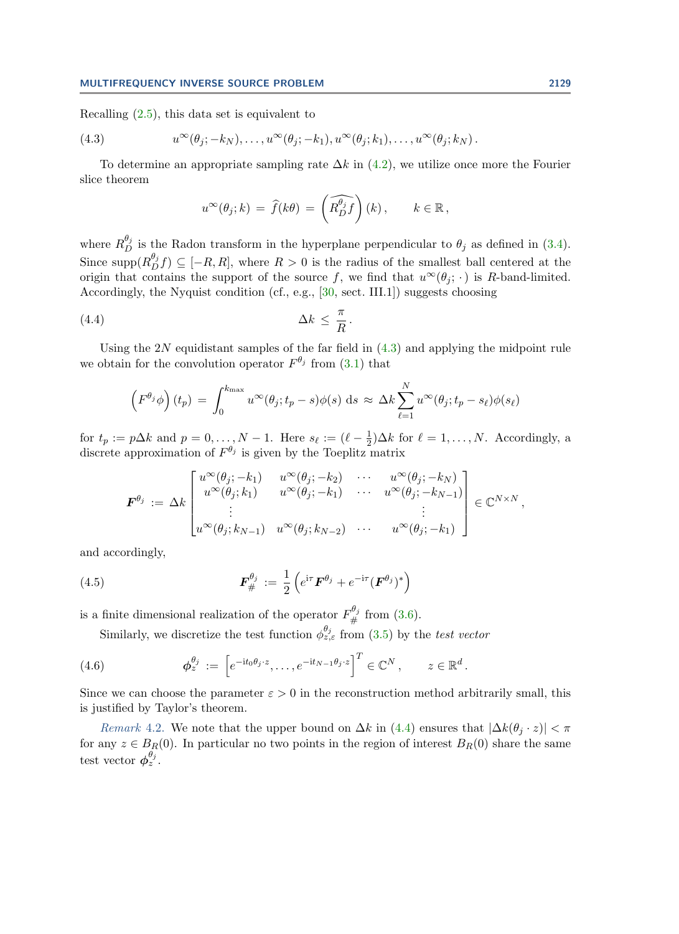Recalling  $(2.5)$ , this data set is equivalent to

(4.3) 
$$
u^{\infty}(\theta_j; -k_N), \ldots, u^{\infty}(\theta_j; -k_1), u^{\infty}(\theta_j; k_1), \ldots, u^{\infty}(\theta_j; k_N).
$$

To determine an appropriate sampling rate  $\Delta k$  in [\(4.2\)](#page-9-2), we utilize once more the Fourier slice theorem

<span id="page-10-0"></span>
$$
u^{\infty}(\theta_j;k) = \widehat{f}(k\theta) = \left(\widehat{R_{D}^{\theta_j}f}\right)(k), \qquad k \in \mathbb{R},
$$

where  $R_D^{\theta_j}$  is the Radon transform in the hyperplane perpendicular to  $\theta_j$  as defined in [\(3.4\)](#page-7-2). Since supp $(R_{D}^{\theta_{j}}f) \subseteq [-R, R]$ , where  $R > 0$  is the radius of the smallest ball centered at the origin that contains the support of the source f, we find that  $u^{\infty}(\theta_i; \cdot)$  is R-band-limited. Accordingly, the Nyquist condition (cf., e.g., [\[30,](#page-19-26) sect. III.1]) suggests choosing

$$
(4.4) \t\t \Delta k \leq \frac{\pi}{R}
$$

Using the  $2N$  equidistant samples of the far field in  $(4.3)$  and applying the midpoint rule we obtain for the convolution operator  $F^{\theta_j}$  from [\(3.1\)](#page-6-1) that

<span id="page-10-1"></span>.

$$
\left(F^{\theta_j}\phi\right)(t_p) = \int_0^{k_{\max}} u^{\infty}(\theta_j; t_p - s)\phi(s) \,ds \approx \Delta k \sum_{\ell=1}^N u^{\infty}(\theta_j; t_p - s_{\ell})\phi(s_{\ell})
$$

for  $t_p := p\Delta k$  and  $p = 0, \ldots, N - 1$ . Here  $s_\ell := (\ell - \frac{1}{2})$  $\frac{1}{2}$ ) $\Delta k$  for  $\ell = 1, \ldots, N$ . Accordingly, a discrete approximation of  $F^{\theta_j}$  is given by the Toeplitz matrix

<span id="page-10-2"></span>
$$
\boldsymbol{F}^{\theta_j} := \Delta k \begin{bmatrix} u^{\infty}(\theta_j; -k_1) & u^{\infty}(\theta_j; -k_2) & \cdots & u^{\infty}(\theta_j; -k_N) \\ u^{\infty}(\theta_j; k_1) & u^{\infty}(\theta_j; -k_1) & \cdots & u^{\infty}(\theta_j; -k_{N-1}) \\ \vdots & & & \vdots \\ u^{\infty}(\theta_j; k_{N-1}) & u^{\infty}(\theta_j; k_{N-2}) & \cdots & u^{\infty}(\theta_j; -k_1) \end{bmatrix} \in \mathbb{C}^{N \times N},
$$

and accordingly,

(4.5) 
$$
\boldsymbol{F}_{\#}^{\theta_j} := \frac{1}{2} \left( e^{i\tau} \boldsymbol{F}^{\theta_j} + e^{-i\tau} (\boldsymbol{F}^{\theta_j})^* \right)
$$

is a finite dimensional realization of the operator  $F_{\#}^{\theta_j}$  from [\(3.6\)](#page-8-1).

<span id="page-10-3"></span>Similarly, we discretize the test function  $\phi_{z,\varepsilon}^{\theta_j}$  from [\(3.5\)](#page-8-2) by the test vector

(4.6) 
$$
\boldsymbol{\phi}_{z}^{\theta_{j}} := \left[e^{-\mathrm{i}t_{0}\theta_{j}\cdot z}, \ldots, e^{-\mathrm{i}t_{N-1}\theta_{j}\cdot z}\right]^{T} \in \mathbb{C}^{N}, \qquad z \in \mathbb{R}^{d}
$$

Since we can choose the parameter  $\varepsilon > 0$  in the reconstruction method arbitrarily small, this is justified by Taylor's theorem.

.

Remark 4.2. We note that the upper bound on  $\Delta k$  in [\(4.4\)](#page-10-1) ensures that  $|\Delta k(\theta_i \cdot z)| < \pi$ for any  $z \in B_R(0)$ . In particular no two points in the region of interest  $B_R(0)$  share the same test vector  $\phi_z^{\theta_j}$ .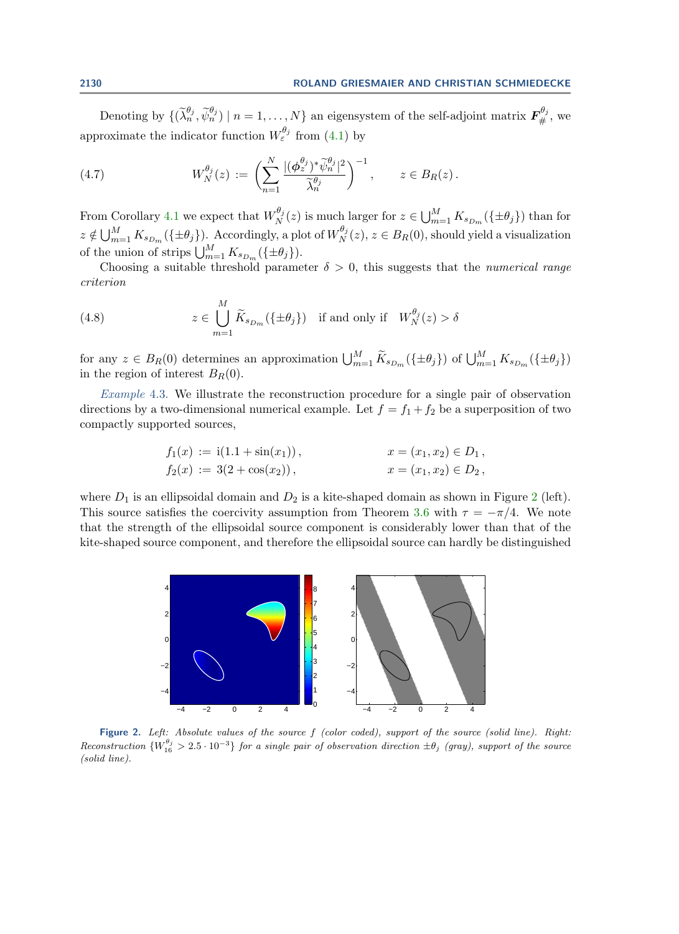Denoting by  $\{(\widetilde{\lambda}_{n}^{\theta_{j}}, \widetilde{\psi}_{n}^{\theta_{j}}) \mid n = 1, \ldots, N\}$  an eigensystem of the self-adjoint matrix  $\mathbf{F}_{\#}^{\theta_{j}}$ , we approximate the indicator function  $W_{\varepsilon}^{\theta_j}$  from [\(4.1\)](#page-9-3) by

<span id="page-11-1"></span>(4.7) 
$$
W_N^{\theta_j}(z) := \left(\sum_{n=1}^N \frac{|(\phi_z^{\theta_j})^* \widetilde{\psi}_n^{\theta_j}|^2}{\widetilde{\lambda}_n^{\theta_j}}\right)^{-1}, \qquad z \in B_R(z).
$$

From Corollary [4.1](#page-9-4) we expect that  $W_N^{\theta_j}$  $\int_N^{\theta_j}(z)$  is much larger for  $z \in \bigcup_{m=1}^M K_{s_{D_m}}(\{\pm \theta_j\})$  than for  $z \notin \bigcup_{m=1}^M K_{s_{D_m}}(\{\pm \theta_j\})$ . Accordingly, a plot of  $W_{N}^{\theta_j}$  $N<sup>Uj</sup>(z), z \in B<sub>R</sub>(0),$  should yield a visualization of the union of strips  $\bigcup_{m=1}^M K_{s_{D_m}}(\{\pm \theta_j\}).$ 

Choosing a suitable threshold parameter  $\delta > 0$ , this suggests that the *numerical range* criterion

<span id="page-11-2"></span>(4.8) 
$$
z \in \bigcup_{m=1}^{M} \widetilde{K}_{s_{D_m}}(\{\pm \theta_j\}) \text{ if and only if } W_N^{\theta_j}(z) > \delta
$$

for any  $z \in B_R(0)$  determines an approximation  $\bigcup_{m=1}^M \widetilde{K}_{s_{D_m}}(\{\pm \theta_j\})$  of  $\bigcup_{m=1}^M K_{s_{D_m}}(\{\pm \theta_j\})$ in the region of interest  $B_R(0)$ .

<span id="page-11-3"></span>Example 4.3. We illustrate the reconstruction procedure for a single pair of observation directions by a two-dimensional numerical example. Let  $f = f_1 + f_2$  be a superposition of two compactly supported sources,

$$
f_1(x) := i(1.1 + sin(x_1)),
$$
  
\n
$$
f_2(x) := 3(2 + cos(x_2)),
$$
  
\n
$$
x = (x_1, x_2) \in D_1,
$$
  
\n
$$
x = (x_1, x_2) \in D_2,
$$

where  $D_1$  is an ellipsoidal domain and  $D_2$  $D_2$  is a kite-shaped domain as shown in Figure 2 (left). This source satisfies the coercivity assumption from Theorem [3.6](#page-8-0) with  $\tau = -\pi/4$ . We note that the strength of the ellipsoidal source component is considerably lower than that of the kite-shaped source component, and therefore the ellipsoidal source can hardly be distinguished

<span id="page-11-0"></span>

Figure 2. Left: Absolute values of the source f (color coded), support of the source (solid line). Right: Reconstruction  ${W_{16}^{\theta_j} > 2.5 \cdot 10^{-3}}$  for a single pair of observation direction  $\pm \theta_j$  (gray), support of the source (solid line).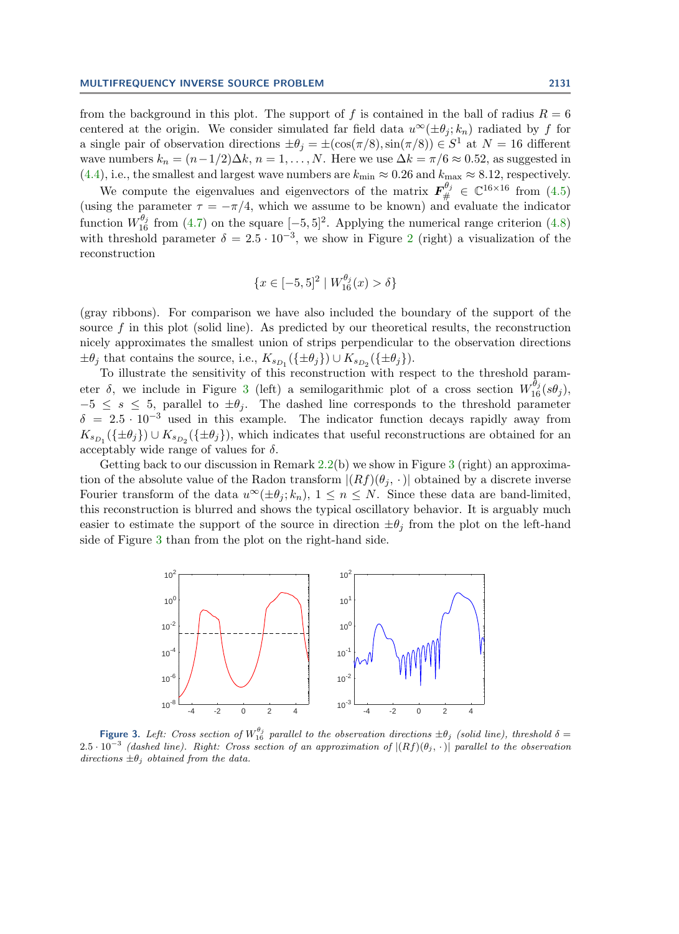from the background in this plot. The support of f is contained in the ball of radius  $R = 6$ centered at the origin. We consider simulated far field data  $u^{\infty}(\pm \theta_i; k_n)$  radiated by f for a single pair of observation directions  $\pm \theta_j = \pm(\cos(\pi/8), \sin(\pi/8)) \in S^1$  at  $N = 16$  different wave numbers  $k_n = (n-1/2)\Delta k$ ,  $n = 1, ..., N$ . Here we use  $\Delta k = \pi/6 \approx 0.52$ , as suggested in [\(4.4\)](#page-10-1), i.e., the smallest and largest wave numbers are  $k_{\min} \approx 0.26$  and  $k_{\max} \approx 8.12$ , respectively.

We compute the eigenvalues and eigenvectors of the matrix  $\mathbf{F}_{\#}^{\theta_j} \in \mathbb{C}^{16 \times 16}$  from [\(4.5\)](#page-10-2) (using the parameter  $\tau = -\pi/4$ , which we assume to be known) and evaluate the indicator function  $W_{16}^{\theta_j}$  from [\(4.7\)](#page-11-1) on the square  $[-5, 5]^2$ . Applying the numerical range criterion [\(4.8\)](#page-11-2) with threshold parameter  $\delta = 2.5 \cdot 10^{-3}$  $\delta = 2.5 \cdot 10^{-3}$  $\delta = 2.5 \cdot 10^{-3}$ , we show in Figure 2 (right) a visualization of the reconstruction

$$
\{x \in [-5, 5]^2 \mid W_{16}^{\theta_j}(x) > \delta\}
$$

(gray ribbons). For comparison we have also included the boundary of the support of the source  $f$  in this plot (solid line). As predicted by our theoretical results, the reconstruction nicely approximates the smallest union of strips perpendicular to the observation directions  $\pm \theta_j$  that contains the source, i.e.,  $K_{s_{D_1}}(\{\pm \theta_j\}) \cup K_{s_{D_2}}(\{\pm \theta_j\}).$ 

To illustrate the sensitivity of this reconstruction with respect to the threshold parameter  $\delta$ , we include in Figure [3](#page-12-0) (left) a semilogarithmic plot of a cross section  $W_{16}^{\theta_j}(s\theta_j)$ ,  $-5 \leq s \leq 5$ , parallel to  $\pm \theta_j$ . The dashed line corresponds to the threshold parameter  $\delta = 2.5 \cdot 10^{-3}$  used in this example. The indicator function decays rapidly away from  $K_{s_{D_1}}(\{\pm \theta_j\}) \cup K_{s_{D_2}}(\{\pm \theta_j\})$ , which indicates that useful reconstructions are obtained for an acceptably wide range of values for  $\delta$ .

Getting back to our discussion in Remark  $2.2(b)$  $2.2(b)$  we show in Figure [3](#page-12-0) (right) an approximation of the absolute value of the Radon transform  $|(Rf)(\theta_i, \cdot)|$  obtained by a discrete inverse Fourier transform of the data  $u^{\infty}(\pm \theta_j; k_n)$ ,  $1 \leq n \leq N$ . Since these data are band-limited, this reconstruction is blurred and shows the typical oscillatory behavior. It is arguably much easier to estimate the support of the source in direction  $\pm \theta_i$  from the plot on the left-hand side of Figure [3](#page-12-0) than from the plot on the right-hand side.

<span id="page-12-0"></span>

**Figure 3.** Left: Cross section of  $W_{16}^{\theta_j}$  parallel to the observation directions  $\pm \theta_j$  (solid line), threshold  $\delta =$  $2.5 \cdot 10^{-3}$  (dashed line). Right: Cross section of an approximation of  $|(Rf)(\theta_j, \cdot)|$  parallel to the observation directions  $\pm \theta_i$  obtained from the data.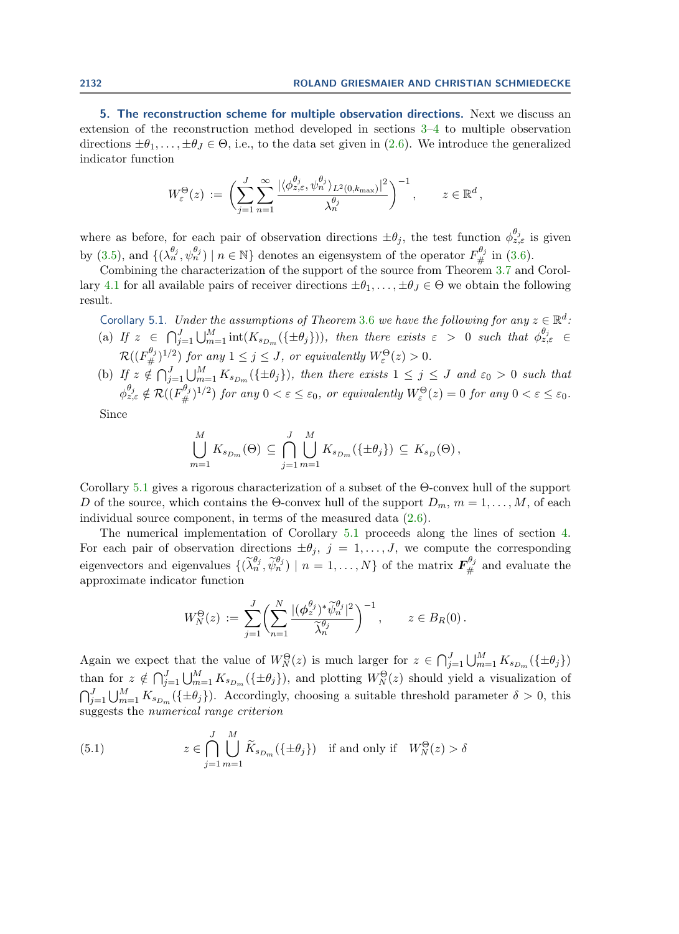<span id="page-13-0"></span>5. The reconstruction scheme for multiple observation directions. Next we discuss an extension of the reconstruction method developed in sections [3–](#page-6-0)[4](#page-9-0) to multiple observation directions  $\pm\theta_1,\ldots,\pm\theta_J\in\Theta$ , i.e., to the data set given in [\(2.6\)](#page-3-1). We introduce the generalized indicator function

$$
W_{\varepsilon}^{\Theta}(z) := \left( \sum_{j=1}^{J} \sum_{n=1}^{\infty} \frac{|\langle \phi_{z,\varepsilon}^{\theta_j}, \psi_n^{\theta_j} \rangle_{L^2(0,k_{\max})}|^2}{\lambda_n^{\theta_j}} \right)^{-1}, \qquad z \in \mathbb{R}^d,
$$

where as before, for each pair of observation directions  $\pm \theta_j$ , the test function  $\phi_{z,\varepsilon}^{\theta_j}$  is given by [\(3.5\)](#page-8-2), and  $\{(\lambda_n^{\theta_j}, \psi_n^{\theta_j}) \mid n \in \mathbb{N}\}\$  denotes an eigensystem of the operator  $F_{\#}^{\theta_j}$  in [\(3.6\)](#page-8-1).

Combining the characterization of the support of the source from Theorem [3.7](#page-9-1) and Corol-lary [4.1](#page-9-4) for all available pairs of receiver directions  $\pm\theta_1,\ldots,\pm\theta_J\in\Theta$  we obtain the following result.

<span id="page-13-1"></span>Corollary 5.1. Under the assumptions of Theorem [3.6](#page-8-0) we have the following for any  $z \in \mathbb{R}^d$ . (a) If  $z \in \bigcap_{j=1}^J \bigcup_{m=1}^M \text{int}(K_{s_{D_m}}(\{\pm \theta_j\}))$ , then there exists  $\varepsilon > 0$  such that  $\phi_{z,\varepsilon}^{\theta_j} \in$  $\mathcal{R}((F^{\theta_j}_\#)^{1/2})$  for any  $1 \leq j \leq J$ , or equivalently  $W^{\Theta}_{\varepsilon}(z) > 0$ .

(b) If  $z \notin \bigcap_{j=1}^J \bigcup_{m=1}^M K_{s_{D_m}}(\{\pm \theta_j\})$ , then there exists  $1 \leq j \leq J$  and  $\varepsilon_0 > 0$  such that  $\phi_{z,\varepsilon}^{\theta_j} \notin \mathcal{R}((F^{\theta_j}_\#)^{1/2})$  for any  $0 < \varepsilon \leq \varepsilon_0$ , or equivalently  $W^{\Theta}_{\varepsilon}(z) = 0$  for any  $0 < \varepsilon \leq \varepsilon_0$ .

Since

$$
\bigcup_{m=1}^M K_{s_{D_m}}(\Theta) \subseteq \bigcap_{j=1}^J \bigcup_{m=1}^M K_{s_{D_m}}(\{\pm \theta_j\}) \subseteq K_{s_D}(\Theta),
$$

Corollary [5.1](#page-13-1) gives a rigorous characterization of a subset of the Θ-convex hull of the support D of the source, which contains the  $\Theta$ -convex hull of the support  $D_m$ ,  $m = 1, \ldots, M$ , of each individual source component, in terms of the measured data [\(2.6\)](#page-3-1).

The numerical implementation of Corollary [5.1](#page-13-1) proceeds along the lines of section [4.](#page-9-0) For each pair of observation directions  $\pm \theta_j$ ,  $j = 1, \ldots, J$ , we compute the corresponding eigenvectors and eigenvalues  $\{(\widetilde{\lambda}_{n}^{\theta_{j}}, \widetilde{\psi}_{n}^{\theta_{j}}) \mid n = 1, \ldots, N\}$  of the matrix  $\mathbf{F}_{\#}^{\theta_{j}}$  and evaluate the approximate indicator function

$$
W_N^{\Theta}(z) := \sum_{j=1}^J \left( \sum_{n=1}^N \frac{|(\phi_z^{\theta_j})^* \widetilde{\psi}_n^{\theta_j}|^2}{\widetilde{\lambda}_n^{\theta_j}} \right)^{-1}, \qquad z \in B_R(0).
$$

Again we expect that the value of  $W_N^{\Theta}(z)$  is much larger for  $z \in \bigcap_{j=1}^J \bigcup_{m=1}^M K_{s_{D_m}}(\{\pm \theta_j\})$ than for  $z \notin \bigcap_{j=1}^J \bigcup_{m=1}^M K_{s_{D_m}}(\{\pm \theta_j\})$ , and plotting  $W^{\Theta}_N(z)$  should yield a visualization of  $\bigcap_{j=1}^{J} \bigcup_{m=1}^{M} K_{s_{D_m}}(\{\pm \theta_j\})$ . Accordingly, choosing a suitable threshold parameter  $\delta > 0$ , this suggests the numerical range criterion

<span id="page-13-2"></span>(5.1) 
$$
z \in \bigcap_{j=1}^{J} \bigcup_{m=1}^{M} \widetilde{K}_{s_{D_m}}(\{\pm \theta_j\}) \text{ if and only if } W_N^{\Theta}(z) > \delta
$$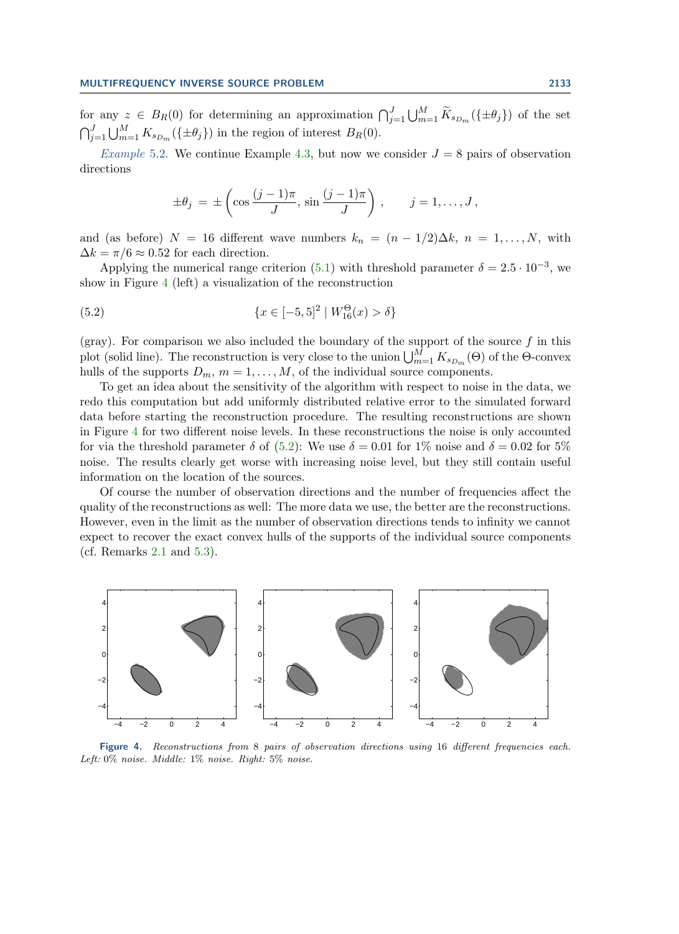for any  $z \in B_R(0)$  for determining an approximation  $\bigcap_{j=1}^J \bigcup_{m=1}^M \widetilde{K}_{s_{D_m}}(\{\pm \theta_j\})$  of the set  $\bigcap_{j=1}^{J} \bigcup_{m=1}^{M} K_{s_{D_m}}(\{\pm \theta_j\})$  in the region of interest  $B_R(0)$ .

*Example* 5.2. We continue Example [4.3,](#page-11-3) but now we consider  $J = 8$  pairs of observation directions

<span id="page-14-1"></span>
$$
\pm \theta_j = \pm \left( \cos \frac{(j-1)\pi}{J}, \sin \frac{(j-1)\pi}{J} \right), \qquad j = 1, \dots, J,
$$

and (as before)  $N = 16$  different wave numbers  $k_n = (n - 1/2)\Delta k$ ,  $n = 1, ..., N$ , with  $\Delta k = \pi/6 \approx 0.52$  for each direction.

Applying the numerical range criterion [\(5.1\)](#page-13-2) with threshold parameter  $\delta = 2.5 \cdot 10^{-3}$ , we show in Figure [4](#page-14-0) (left) a visualization of the reconstruction

(5.2) 
$$
\{x \in [-5,5]^2 \mid W_{16}^{\Theta}(x) > \delta\}
$$

(gray). For comparison we also included the boundary of the support of the source  $f$  in this plot (solid line). The reconstruction is very close to the union  $\bigcup_{m=1}^{M} K_{s_{D_m}}(\Theta)$  of the  $\Theta$ -convex hulls of the supports  $D_m$ ,  $m = 1, \ldots, M$ , of the individual source components.

To get an idea about the sensitivity of the algorithm with respect to noise in the data, we redo this computation but add uniformly distributed relative error to the simulated forward data before starting the reconstruction procedure. The resulting reconstructions are shown in Figure [4](#page-14-0) for two different noise levels. In these reconstructions the noise is only accounted for via the threshold parameter  $\delta$  of [\(5.2\)](#page-14-1): We use  $\delta = 0.01$  for 1% noise and  $\delta = 0.02$  for 5% noise. The results clearly get worse with increasing noise level, but they still contain useful information on the location of the sources.

Of course the number of observation directions and the number of frequencies affect the quality of the reconstructions as well: The more data we use, the better are the reconstructions. However, even in the limit as the number of observation directions tends to infinity we cannot expect to recover the exact convex hulls of the supports of the individual source components (cf. Remarks [2.1](#page-4-2) and [5.3\)](#page-14-2).

<span id="page-14-2"></span><span id="page-14-0"></span>

Figure 4. Reconstructions from 8 pairs of observation directions using 16 different frequencies each. Left: 0% noise. Middle: 1% noise. Right: 5% noise.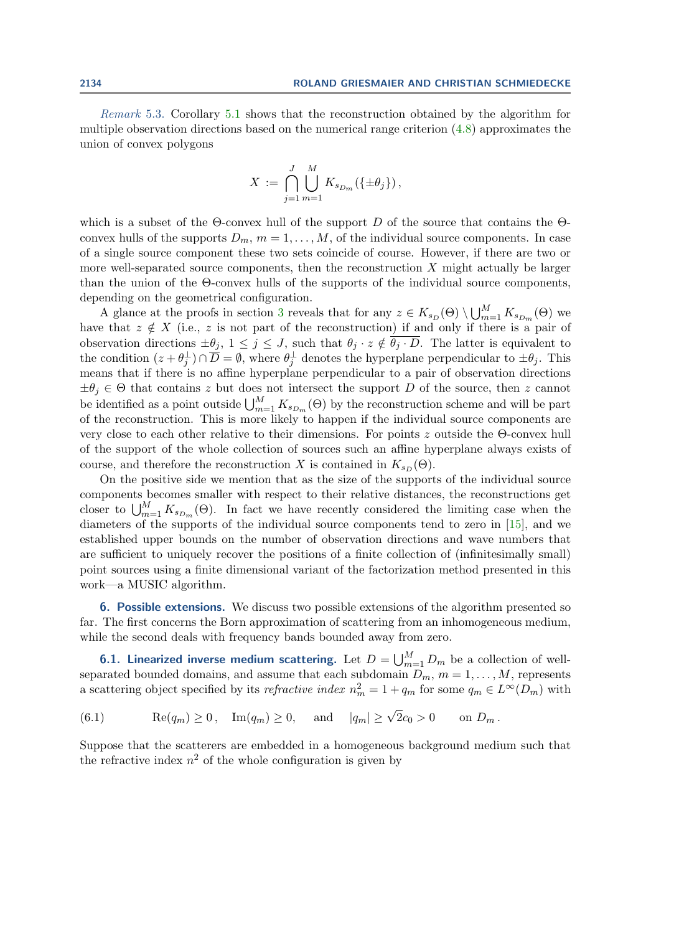Remark 5.3. Corollary [5.1](#page-13-1) shows that the reconstruction obtained by the algorithm for multiple observation directions based on the numerical range criterion [\(4.8\)](#page-11-2) approximates the union of convex polygons

$$
X := \bigcap_{j=1}^J \bigcup_{m=1}^M K_{s_{D_m}}(\{\pm \theta_j\}),
$$

which is a subset of the  $\Theta$ -convex hull of the support D of the source that contains the  $\Theta$ convex hulls of the supports  $D_m$ ,  $m = 1, \ldots, M$ , of the individual source components. In case of a single source component these two sets coincide of course. However, if there are two or more well-separated source components, then the reconstruction  $X$  might actually be larger than the union of the Θ-convex hulls of the supports of the individual source components, depending on the geometrical configuration.

A glance at the proofs in section [3](#page-6-0) reveals that for any  $z \in K_{s_D}(\Theta) \setminus \bigcup_{m=1}^M K_{s_{D_m}}(\Theta)$  we have that  $z \notin X$  (i.e., z is not part of the reconstruction) if and only if there is a pair of observation directions  $\pm \theta_j$ ,  $1 \leq j \leq J$ , such that  $\theta_j \cdot z \notin \overline{\theta_j \cdot D}$ . The latter is equivalent to the condition  $(z + \theta_j^{\perp}) \cap \overline{D} = \emptyset$ , where  $\theta_j^{\perp}$  denotes the hyperplane perpendicular to  $\pm \theta_j$ . This means that if there is no affine hyperplane perpendicular to a pair of observation directions  $\pm\theta_i \in \Theta$  that contains z but does not intersect the support D of the source, then z cannot be identified as a point outside  $\bigcup_{m=1}^{M} K_{s_{D_m}}(\Theta)$  by the reconstruction scheme and will be part of the reconstruction. This is more likely to happen if the individual source components are very close to each other relative to their dimensions. For points z outside the Θ-convex hull of the support of the whole collection of sources such an affine hyperplane always exists of course, and therefore the reconstruction X is contained in  $K_{sD} (\Theta)$ .

On the positive side we mention that as the size of the supports of the individual source components becomes smaller with respect to their relative distances, the reconstructions get closer to  $\bigcup_{m=1}^M K_{s_{D_m}}(\Theta)$ . In fact we have recently considered the limiting case when the diameters of the supports of the individual source components tend to zero in [\[15\]](#page-19-3), and we established upper bounds on the number of observation directions and wave numbers that are sufficient to uniquely recover the positions of a finite collection of (infinitesimally small) point sources using a finite dimensional variant of the factorization method presented in this work—a MUSIC algorithm.

<span id="page-15-0"></span>6. Possible extensions. We discuss two possible extensions of the algorithm presented so far. The first concerns the Born approximation of scattering from an inhomogeneous medium, while the second deals with frequency bands bounded away from zero.

**6.1. Linearized inverse medium scattering.** Let  $D = \bigcup_{m=1}^{M} D_m$  be a collection of wellseparated bounded domains, and assume that each subdomain  $D_m$ ,  $m = 1, ..., M$ , represents a scattering object specified by its *refractive index*  $n_m^2 = 1 + q_m$  for some  $q_m \in L^{\infty}(D_m)$  with

<span id="page-15-1"></span>(6.1)  $\text{Re}(q_m) \ge 0$ ,  $\text{Im}(q_m) \ge 0$ , and  $|q_m| \ge \sqrt{2}c_0 > 0$  on  $D_m$ .

Suppose that the scatterers are embedded in a homogeneous background medium such that the refractive index  $n^2$  of the whole configuration is given by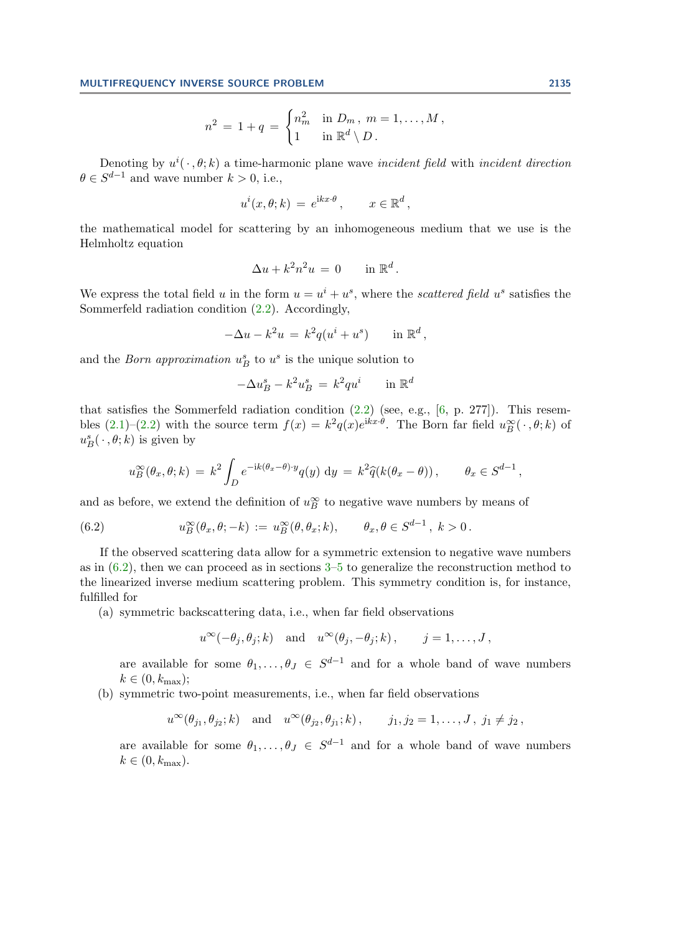$$
n^2 = 1 + q = \begin{cases} n_m^2 & \text{in } D_m \text{, } m = 1, \dots, M \text{,} \\ 1 & \text{in } \mathbb{R}^d \setminus D \text{.} \end{cases}
$$

Denoting by  $u^{i}(\cdot, \theta; k)$  a time-harmonic plane wave *incident field* with *incident direction*  $\theta \in S^{d-1}$  and wave number  $k > 0$ , i.e.,

$$
u^{i}(x,\theta;k) = e^{ikx\cdot\theta}, \qquad x \in \mathbb{R}^{d},
$$

the mathematical model for scattering by an inhomogeneous medium that we use is the Helmholtz equation

$$
\Delta u + k^2 n^2 u = 0 \quad \text{in } \mathbb{R}^d.
$$

We express the total field u in the form  $u = u^i + u^s$ , where the scattered field  $u^s$  satisfies the Sommerfeld radiation condition [\(2.2\)](#page-2-1). Accordingly,

$$
-\Delta u - k^2 u = k^2 q(u^i + u^s) \quad \text{in } \mathbb{R}^d,
$$

and the *Born approximation*  $u_B^s$  to  $u^s$  is the unique solution to

$$
-\Delta u_B^s - k^2 u_B^s = k^2 q u^i \quad \text{in } \mathbb{R}^d
$$

that satisfies the Sommerfeld radiation condition  $(2.2)$  (see, e.g., [\[6,](#page-19-25) p. 277]). This resembles  $(2.1)-(2.2)$  $(2.1)-(2.2)$  $(2.1)-(2.2)$  with the source term  $f(x) = k^2 q(x)e^{ikx \cdot \theta}$ . The Born far field  $u_B^{\infty}(\cdot, \theta; k)$  of  $u_B^s(\cdot, \theta; k)$  is given by

<span id="page-16-0"></span>
$$
u_B^{\infty}(\theta_x, \theta; k) = k^2 \int_D e^{-ik(\theta_x - \theta) \cdot y} q(y) dy = k^2 \hat{q}(k(\theta_x - \theta)), \qquad \theta_x \in S^{d-1},
$$

and as before, we extend the definition of  $u_B^{\infty}$  to negative wave numbers by means of

(6.2) 
$$
u_B^{\infty}(\theta_x, \theta; -k) := u_B^{\infty}(\theta, \theta_x; k), \qquad \theta_x, \theta \in S^{d-1}, k > 0.
$$

If the observed scattering data allow for a symmetric extension to negative wave numbers as in  $(6.2)$ , then we can proceed as in sections  $3-5$  $3-5$  to generalize the reconstruction method to the linearized inverse medium scattering problem. This symmetry condition is, for instance, fulfilled for

(a) symmetric backscattering data, i.e., when far field observations

$$
u^{\infty}(-\theta_j, \theta_j; k)
$$
 and  $u^{\infty}(\theta_j, -\theta_j; k)$ ,  $j = 1, ..., J$ ,

are available for some  $\theta_1, \ldots, \theta_J \in S^{d-1}$  and for a whole band of wave numbers  $k \in (0, k_{\text{max}});$ 

(b) symmetric two-point measurements, i.e., when far field observations

$$
u^{\infty}(\theta_{j_1}, \theta_{j_2}; k)
$$
 and  $u^{\infty}(\theta_{j_2}, \theta_{j_1}; k)$ ,  $j_1, j_2 = 1, ..., J$ ,  $j_1 \neq j_2$ ,

are available for some  $\theta_1, \ldots, \theta_J \in S^{d-1}$  and for a whole band of wave numbers  $k \in (0, k_{\text{max}}).$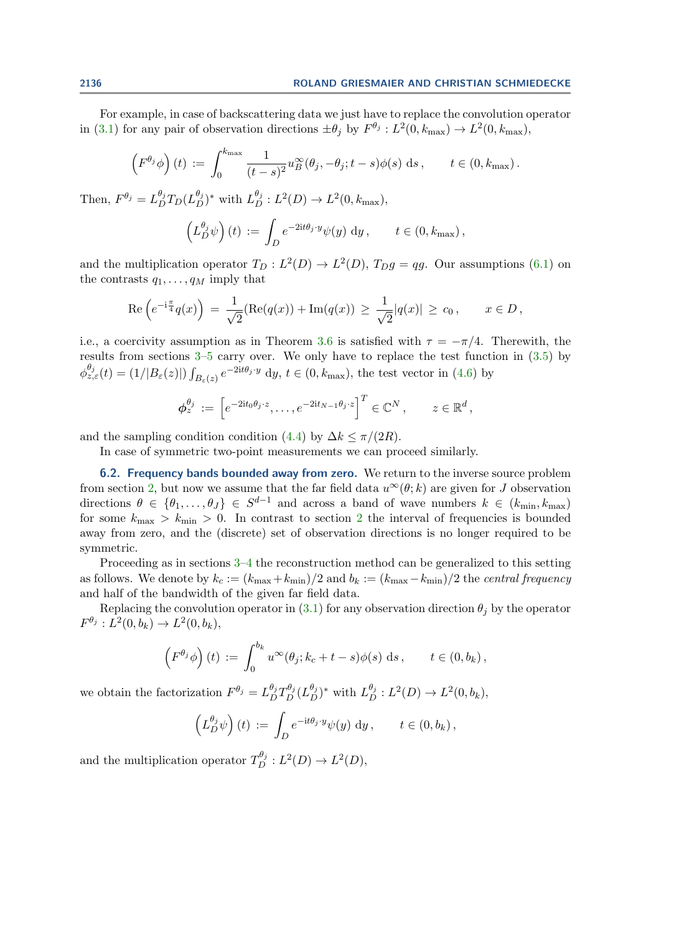For example, in case of backscattering data we just have to replace the convolution operator in [\(3.1\)](#page-6-1) for any pair of observation directions  $\pm \theta_j$  by  $F^{\theta_j}: L^2(0, k_{\text{max}}) \to L^2(0, k_{\text{max}})$ ,

$$
\left(F^{\theta_j}\phi\right)(t) := \int_0^{k_{\max}} \frac{1}{(t-s)^2} u_B^{\infty}(\theta_j, -\theta_j; t-s)\phi(s) \, ds, \qquad t \in (0, k_{\max}).
$$

Then,  $F^{\theta_j} = L_D^{\theta_j} T_D (L_D^{\theta_j})^*$  with  $L_D^{\theta_j} : L^2(D) \to L^2(0, k_{\text{max}})$ ,

$$
\left(L_D^{\theta_j}\psi\right)(t) := \int_D e^{-2it\theta_j \cdot y} \psi(y) \, \mathrm{d}y, \qquad t \in (0, k_{\max}),
$$

and the multiplication operator  $T_D : L^2(D) \to L^2(D)$ ,  $T_D g = qg$ . Our assumptions [\(6.1\)](#page-15-1) on the contrasts  $q_1, \ldots, q_M$  imply that

Re 
$$
\left(e^{-i\frac{\pi}{4}}q(x)\right) = \frac{1}{\sqrt{2}}(Re(q(x)) + Im(q(x)) \ge \frac{1}{\sqrt{2}}|q(x)| \ge c_0, \quad x \in D,
$$

i.e., a coercivity assumption as in Theorem [3.6](#page-8-0) is satisfied with  $\tau = -\pi/4$ . Therewith, the results from sections [3–](#page-6-0)[5](#page-13-0) carry over. We only have to replace the test function in [\(3.5\)](#page-8-2) by  $\phi_{z,\varepsilon}^{\theta_j}(t)=(1/|B_{\varepsilon}(z)|)\int_{B_{\varepsilon}(z)}e^{-2it\theta_j\cdot y}\mathrm{~d}y, t\in(0,k_{\max}),$  the test vector in [\(4.6\)](#page-10-3) by

$$
\boldsymbol{\phi}_{z}^{\theta_{j}} := \left[e^{-2it_{0}\theta_{j}\cdot z}, \ldots, e^{-2it_{N-1}\theta_{j}\cdot z}\right]^{T} \in \mathbb{C}^{N}, \qquad z \in \mathbb{R}^{d},
$$

and the sampling condition condition [\(4.4\)](#page-10-1) by  $\Delta k \leq \pi/(2R)$ .

In case of symmetric two-point measurements we can proceed similarly.

**6.2. Frequency bands bounded away from zero.** We return to the inverse source problem from section [2,](#page-2-0) but now we assume that the far field data  $u^{\infty}(\theta;k)$  are given for J observation directions  $\theta \in {\theta_1, \ldots, \theta_J} \in S^{d-1}$  and across a band of wave numbers  $k \in (k_{\min}, k_{\max})$ for some  $k_{\text{max}} > k_{\text{min}} > 0$ . In contrast to section [2](#page-2-0) the interval of frequencies is bounded away from zero, and the (discrete) set of observation directions is no longer required to be symmetric.

Proceeding as in sections [3–](#page-6-0)[4](#page-9-0) the reconstruction method can be generalized to this setting as follows. We denote by  $k_c := (k_{\text{max}}+k_{\text{min}})/2$  and  $b_k := (k_{\text{max}}-k_{\text{min}})/2$  the central frequency and half of the bandwidth of the given far field data.

Replacing the convolution operator in [\(3.1\)](#page-6-1) for any observation direction  $\theta_i$  by the operator  $F^{\theta_j}: L^2(0, b_k) \to L^2(0, b_k),$ 

$$
\left(F^{\theta_j}\phi\right)(t) := \int_0^{b_k} u^\infty(\theta_j; k_c + t - s)\phi(s) \,ds, \qquad t \in (0, b_k),
$$

we obtain the factorization  $F^{\theta_j} = L_D^{\theta_j} T_D^{\theta_j} (L_D^{\theta_j})^*$  with  $L_D^{\theta_j} : L^2(D) \to L^2(0, b_k)$ ,

$$
\left(L_D^{\theta_j}\psi\right)(t) := \int_D e^{-\mathrm{i}t\theta_j \cdot y} \psi(y) \, \mathrm{d}y, \qquad t \in (0, b_k),
$$

and the multiplication operator  $T_D^{\theta_j}: L^2(D) \to L^2(D)$ ,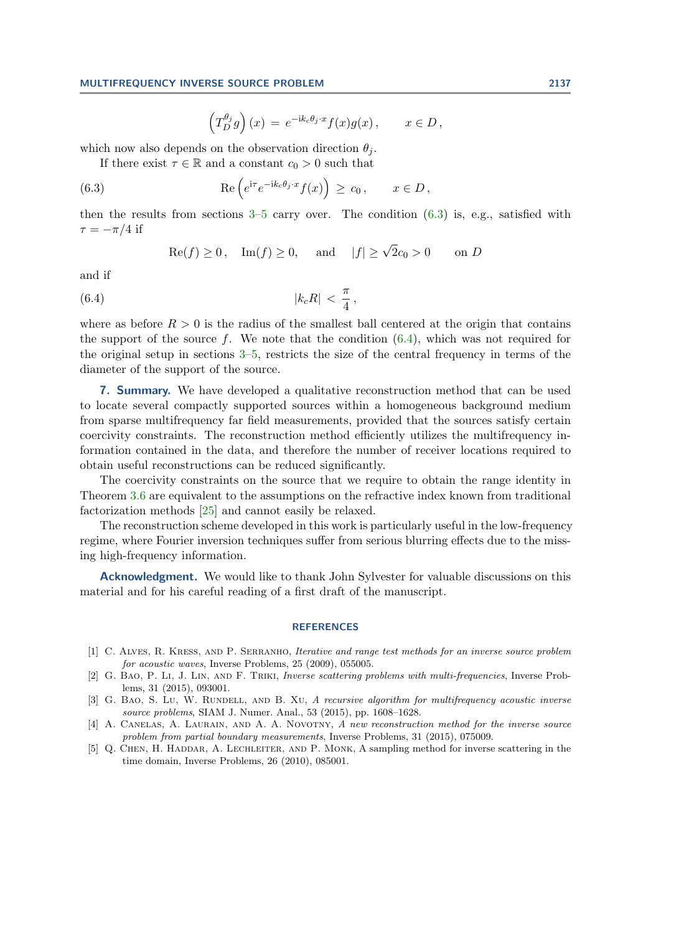<span id="page-18-5"></span>
$$
\left(T_D^{\theta_j}g\right)(x) = e^{-ik_c\theta_j \cdot x}f(x)g(x), \qquad x \in D,
$$

which now also depends on the observation direction  $\theta_i$ .

If there exist  $\tau \in \mathbb{R}$  and a constant  $c_0 > 0$  such that

(6.3) 
$$
\operatorname{Re}\left(e^{\mathrm{i}\tau}e^{-\mathrm{i}k_c\theta_j \cdot x}f(x)\right) \geq c_0, \qquad x \in D,
$$

then the results from sections  $3-5$  $3-5$  carry over. The condition  $(6.3)$  is, e.g., satisfied with  $\tau = -\pi/4$  if

<span id="page-18-6"></span>
$$
\text{Re}(f) \ge 0, \quad \text{Im}(f) \ge 0, \quad \text{and} \quad |f| \ge \sqrt{2}c_0 > 0 \quad \text{on } D
$$

and if

$$
(6.4) \t\t\t |k_cR| < \frac{\pi}{4},
$$

where as before  $R > 0$  is the radius of the smallest ball centered at the origin that contains the support of the source f. We note that the condition  $(6.4)$ , which was not required for the original setup in sections [3–](#page-6-0)[5,](#page-13-0) restricts the size of the central frequency in terms of the diameter of the support of the source.

**7. Summary.** We have developed a qualitative reconstruction method that can be used to locate several compactly supported sources within a homogeneous background medium from sparse multifrequency far field measurements, provided that the sources satisfy certain coercivity constraints. The reconstruction method efficiently utilizes the multifrequency information contained in the data, and therefore the number of receiver locations required to obtain useful reconstructions can be reduced significantly.

The coercivity constraints on the source that we require to obtain the range identity in Theorem [3.6](#page-8-0) are equivalent to the assumptions on the refractive index known from traditional factorization methods [\[25\]](#page-19-1) and cannot easily be relaxed.

The reconstruction scheme developed in this work is particularly useful in the low-frequency regime, where Fourier inversion techniques suffer from serious blurring effects due to the missing high-frequency information.

**Acknowledgment.** We would like to thank John Sylvester for valuable discussions on this material and for his careful reading of a first draft of the manuscript.

#### **REFERENCES**

- <span id="page-18-3"></span>[1] C. Alves, R. Kress, and P. Serranho, Iterative and range test methods for an inverse source problem for acoustic waves, Inverse Problems, 25 (2009), 055005.
- <span id="page-18-1"></span>[2] G. Bao, P. Li, J. Lin, and F. Triki, Inverse scattering problems with multi-frequencies, Inverse Problems, 31 (2015), 093001.
- <span id="page-18-2"></span>[3] G. BAO, S. Lu, W. RUNDELL, AND B. XU, A recursive algorithm for multifrequency acoustic inverse source problems, SIAM J. Numer. Anal., 53 (2015), pp. 1608–1628.
- <span id="page-18-4"></span>[4] A. CANELAS, A. LAURAIN, AND A. A. NOVOTNY, A new reconstruction method for the inverse source problem from partial boundary measurements, Inverse Problems, 31 (2015), 075009.
- <span id="page-18-0"></span>[5] Q. CHEN, H. HADDAR, A. LECHLEITER, AND P. MONK, A sampling method for inverse scattering in the time domain, Inverse Problems, 26 (2010), 085001.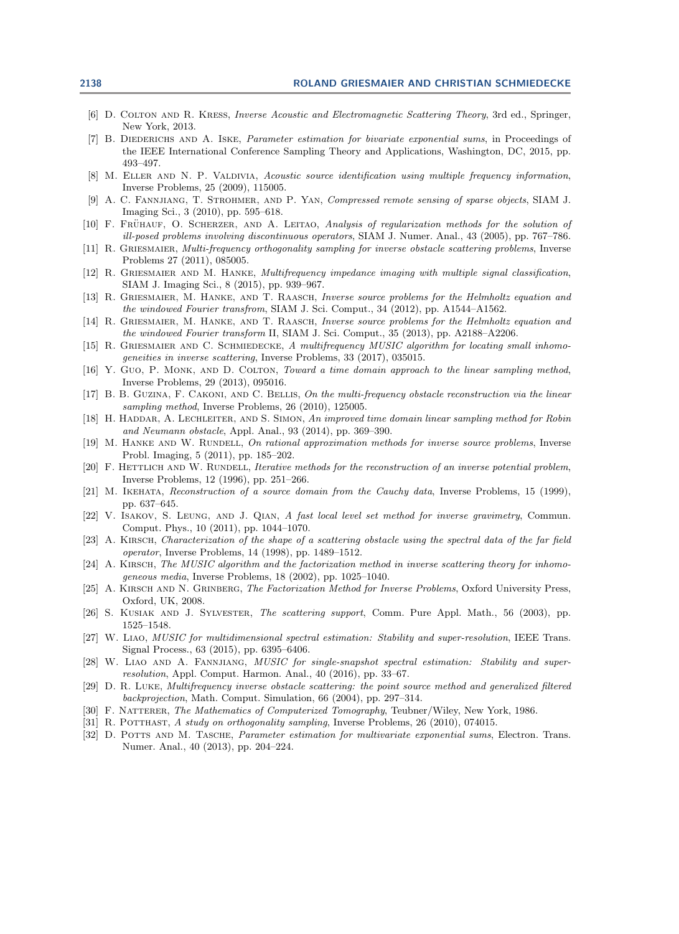- <span id="page-19-25"></span>[6] D. Colton and R. Kress, Inverse Acoustic and Electromagnetic Scattering Theory, 3rd ed., Springer, New York, 2013.
- <span id="page-19-6"></span>[7] B. DIEDERICHS AND A. ISKE, Parameter estimation for bivariate exponential sums, in Proceedings of the IEEE International Conference Sampling Theory and Applications, Washington, DC, 2015, pp. 493–497.
- <span id="page-19-18"></span>[8] M. ELLER AND N. P. VALDIVIA, Acoustic source identification using multiple frequency information, Inverse Problems, 25 (2009), 115005.
- <span id="page-19-19"></span>[9] A. C. Fannjiang, T. Strohmer, and P. Yan, Compressed remote sensing of sparse objects, SIAM J. Imaging Sci., 3 (2010), pp. 595–618.
- <span id="page-19-20"></span>[10] F. FRÜHAUF, O. SCHERZER, AND A. LEITAO, Analysis of regularization methods for the solution of ill-posed problems involving discontinuous operators, SIAM J. Numer. Anal., 43 (2005), pp. 767–786.
- <span id="page-19-14"></span>[11] R. GRIESMAIER, Multi-frequency orthogonality sampling for inverse obstacle scattering problems, Inverse Problems 27 (2011), 085005.
- <span id="page-19-8"></span>[12] R. GRIESMAIER AND M. HANKE, Multifrequency impedance imaging with multiple signal classification, SIAM J. Imaging Sci., 8 (2015), pp. 939–967.
- <span id="page-19-15"></span>[13] R. GRIESMAIER, M. HANKE, AND T. RAASCH, Inverse source problems for the Helmholtz equation and the windowed Fourier transfrom, SIAM J. Sci. Comput., 34 (2012), pp. A1544–A1562.
- <span id="page-19-16"></span>[14] R. GRIESMAIER, M. HANKE, AND T. RAASCH, Inverse source problems for the Helmholtz equation and the windowed Fourier transform II, SIAM J. Sci. Comput., 35 (2013), pp. A2188–A2206.
- <span id="page-19-3"></span>[15] R. GRIESMAIER AND C. SCHMIEDECKE, A multifrequency MUSIC algorithm for locating small inhomogeneities in inverse scattering, Inverse Problems, 33 (2017), 035015.
- <span id="page-19-11"></span>[16] Y. Guo, P. MONK, AND D. COLTON, Toward a time domain approach to the linear sampling method, Inverse Problems, 29 (2013), 095016.
- <span id="page-19-9"></span>[17] B. B. Guzina, F. Cakoni, and C. Bellis, On the multi-frequency obstacle reconstruction via the linear sampling method, Inverse Problems, 26 (2010), 125005.
- <span id="page-19-12"></span>[18] H. HADDAR, A. LECHLEITER, AND S. SIMON, An improved time domain linear sampling method for Robin and Neumann obstacle, Appl. Anal., 93 (2014), pp. 369–390.
- <span id="page-19-21"></span>[19] M. HANKE AND W. RUNDELL, On rational approximation methods for inverse source problems, Inverse Probl. Imaging, 5 (2011), pp. 185–202.
- <span id="page-19-22"></span>[20] F. HETTLICH AND W. RUNDELL, Iterative methods for the reconstruction of an inverse potential problem, Inverse Problems, 12 (1996), pp. 251–266.
- <span id="page-19-23"></span>[21] M. IKEHATA, Reconstruction of a source domain from the Cauchy data, Inverse Problems, 15 (1999), pp. 637–645.
- <span id="page-19-24"></span>[22] V. ISAKOV, S. LEUNG, AND J. QIAN, A fast local level set method for inverse gravimetry, Commun. Comput. Phys., 10 (2011), pp. 1044–1070.
- <span id="page-19-0"></span>[23] A. KIRSCH, Characterization of the shape of a scattering obstacle using the spectral data of the far field operator, Inverse Problems, 14 (1998), pp. 1489–1512.
- <span id="page-19-2"></span>[24] A. KIRSCH, The MUSIC algorithm and the factorization method in inverse scattering theory for inhomogeneous media, Inverse Problems, 18 (2002), pp. 1025–1040.
- <span id="page-19-1"></span>[25] A. KIRSCH AND N. GRINBERG, The Factorization Method for Inverse Problems, Oxford University Press, Oxford, UK, 2008.
- <span id="page-19-13"></span>[26] S. KUSIAK AND J. SYLVESTER, The scattering support, Comm. Pure Appl. Math., 56 (2003), pp. 1525–1548.
- <span id="page-19-4"></span>[27] W. Liao, MUSIC for multidimensional spectral estimation: Stability and super-resolution, IEEE Trans. Signal Process., 63 (2015), pp. 6395–6406.
- <span id="page-19-5"></span>[28] W. LIAO AND A. FANNJIANG, *MUSIC for single-snapshot spectral estimation: Stability and super*resolution, Appl. Comput. Harmon. Anal., 40 (2016), pp. 33–67.
- <span id="page-19-10"></span>[29] D. R. Luke, Multifrequency inverse obstacle scattering: the point source method and generalized filtered backprojection, Math. Comput. Simulation, 66 (2004), pp. 297–314.
- <span id="page-19-26"></span>[30] F. NATTERER, The Mathematics of Computerized Tomography, Teubner/Wiley, New York, 1986.
- <span id="page-19-17"></span>[31] R. POTTHAST, A study on orthogonality sampling, Inverse Problems, 26 (2010), 074015.
- <span id="page-19-7"></span>[32] D. POTTS AND M. TASCHE, *Parameter estimation for multivariate exponential sums*, Electron. Trans. Numer. Anal., 40 (2013), pp. 204–224.